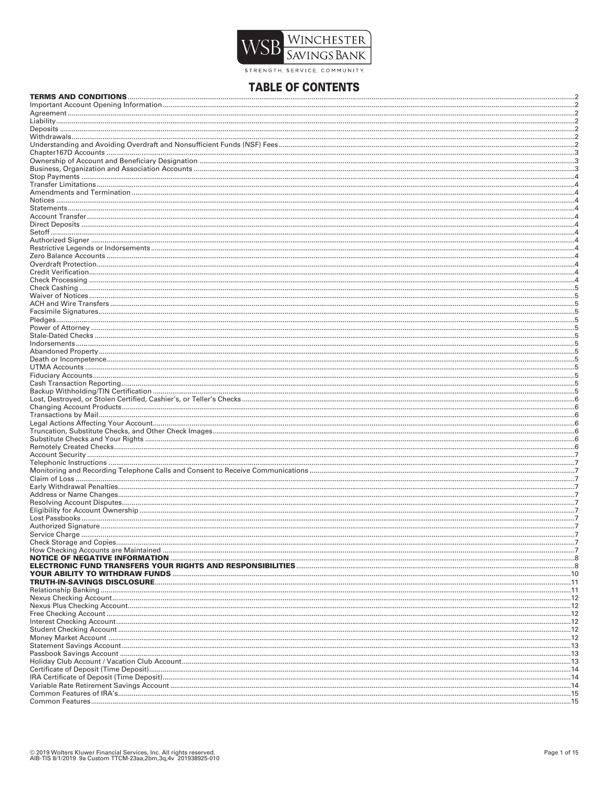

STRENGTH SERVICE. COMMUNITY

# **TABLE OF CONTENTS**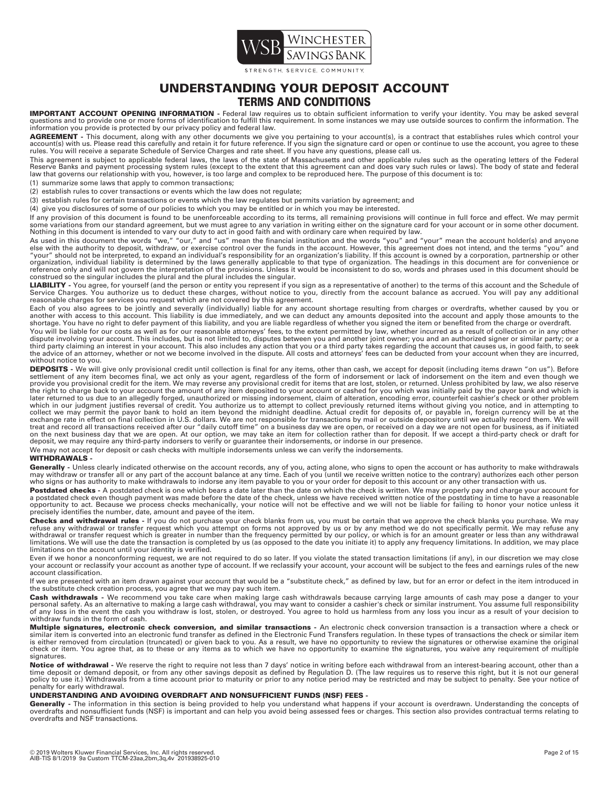

STRENGTH SERVICE COMMUNITY

# **UNDERSTANDING YOUR DEPOSIT ACCOUNT TERMS AND CONDITIONS**

**IMPORTANT ACCOUNT OPENING INFORMATION** - Federal law requires us to obtain sufficient information to verify your identity. You may be asked several<br>questions and to provide one or more forms of identification to fulfill t information you provide is protected by our privacy policy and federal law.

**AGREEMENT** - This document, along with any other documents we give you pertaining to your account(s), is a contract that establishes rules which control your<br>account(s) with us. Please read this carefully and retain it fo rules. You will receive a separate Schedule of Service Charges and rate sheet. If you have any questions, please call us.

This agreement is subject to applicable federal laws, the laws of the state of Massachusetts and other applicable rules such as the operating letters of the Federal<br>Reserve Banks and payment processing system rules (except law that governs our relationship with you, however, is too large and complex to be reproduced here. The purpose of this document is to:

(1) summarize some laws that apply to common transactions;

(2) establish rules to cover transactions or events which the law does not regulate;

(3) establish rules for certain transactions or events which the law regulates but permits variation by agreement; and

(4) give you disclosures of some of our policies to which you may be entitled or in which you may be interested.

If any provision of this document is found to be unenforceable according to its terms, all remaining provisions will continue in full force and effect. We may permit some variations from our standard agreement, but we must agree to any variation in writing either on the signature card for your account or in some other document. Nothing in this document is intended to vary our duty to act in good faith and with ordinary care when required by law.

As used in this document the words "we," "our," and "us" mean the financial institution and the words "you" and "your" mean the account holder(s) and anyone<br>else with the authority to deposit, withdraw, or exercise control reference only and will not govern the interpretation of the provisions. Unless it would be inconsistent to do so, words and phrases used in this document should be construed so the singular includes the plural and the plural includes the singular.

LIABILITY - You agree, for yourself (and the person or entity you represent if you sign as a representative of another) to the terms of this account and the Schedule of Service Charges. You authorize us to deduct these charges, without notice to you, directly from the account balance as accrued. You will pay any additional reasonable charges for services you request which are not covered by this agreement.

Each of you also agrees to be jointly and severally (individually) liable for any account shortage resulting from charges or overdrafts, whether caused by you or another with access to this account. This liability is due immediately, and we can deduct any amounts deposited into the account and apply those amounts to the<br>shortage. You have no right to defer payment of this liability

You will be liable for our costs as well as for our reasonable attorneys' fees, to the extent permitted by law, whether incurred as a result of collection or in any other<br>dispute involving your account. This includes, but third party claiming an interest in your account. This also includes any action that you or a third party takes regarding the account that causes us, in good faith, to seek<br>the advice of an attorney, whether or not we beco without notice to you.

**DEPOSITS -** We will give only provisional credit until collection is final for any items, other than cash, we accept for deposit (including items drawn "on us"). Before<br>settlement of any item becomes final, we act only as the right to charge back to your account the amount of any item deposited to your account or cashed for you which was initially paid by the payor bank and which is<br>later returned to us due to an allegedly forged, unauthori which in our judgment justifies reversal of credit. You authorize us to attempt to collect previously returned items without giving you notice, and in attempting to<br>collect we may permit the payor bank to hold an item beyo exchange rate in effect on final collection in U.S. dollars. We are not responsible for transactions by mail or outside depository until we actually record them. We will<br>treat and record all transactions received after our on the next business day that we are open. At our option, we may take an item for collection rather than for deposit. If we accept a third-party check or draft for<br>deposit, we may require any third-party indorsers to verif

#### We may not accept for deposit or cash checks with multiple indorsements unless we can verify the indorsements.

#### **WITHDRAWALS -**

Generally - Unless clearly indicated otherwise on the account records, any of you, acting alone, who signs to open the account or has authority to make withdrawals may withdraw or transfer all or any part of the account balance at any time. Each of you (until we receive written notice to the contrary) authorizes each other person who signs or has authority to make withdrawals to indorse any item payable to you or your order for deposit to this account or any other transaction with us.

Postdated checks - A postdated check is one which bears a date later than the date on which the check is written. We may properly pay and charge your account for a postdated check even though payment was made before the date of the check, unless we have received written notice of the postdating in time to have a reasonable opportunity to act. Because we process checks mechanically, your notice will not be effective and we will not be liable for failing to honor your notice unless it<br>precisely identifies the number, date, amount and payee of

**Checks and withdrawal rules -** If you do not purchase your check blanks from us, you must be certain that we approve the check blanks you purchase. We may<br>refuse any withdrawal or transfer request which you attempt on for limitations on the account until your identity is verified.

Even if we honor a nonconforming request, we are not required to do so later. If you violate the stated transaction limitations (if any), in our discretion we may close your account or reclassify your account as another type of account. If we reclassify your account, your account will be subject to the fees and earnings rules of the new account classification.

If we are presented with an item drawn against your account that would be a "substitute check," as defined by law, but for an error or defect in the item introduced in the substitute check creation process, you agree that we may pay such item.

**Cash withdrawals** - We recommend you take care when making large cash withdrawals because carrying large amounts of cash may pose a danger to your<br>personal safety. As an alternative to making a large cash withdrawal, you withdraw funds in the form of cash.

**Multiple signatures, electronic check conversion, and similar transactions -** An electronic check conversion transaction is a transaction where a check or similar item is converted into an electronic fund transfer as defined in the Electronic Fund Transfers regulation. In these types of transactions the check or similar item is either removed from circulation (truncated) or given back to you. As a result, we have no opportunity to review the signatures or otherwise examine the original<br>check or item. You agree that, as to these or any items as signatures.

**Notice of withdrawal** - We reserve the right to require not less than 7 days' notice in writing before each withdrawal from an interest-bearing account, other than a<br>time deposit or demand deposit, or from any other savin penalty for early withdrawal.

#### **UNDERSTANDING AND AVOIDING OVERDRAFT AND NONSUFFICIENT FUNDS (NSF) FEES -**

Generally - The information in this section is being provided to help you understand what happens if your account is overdrawn. Understanding the concepts of overdrafts and nonsufficient funds (NSF) is important and can help you avoid being assessed fees or charges. This section also provides contractual terms relating to overdrafts and NSF transactions.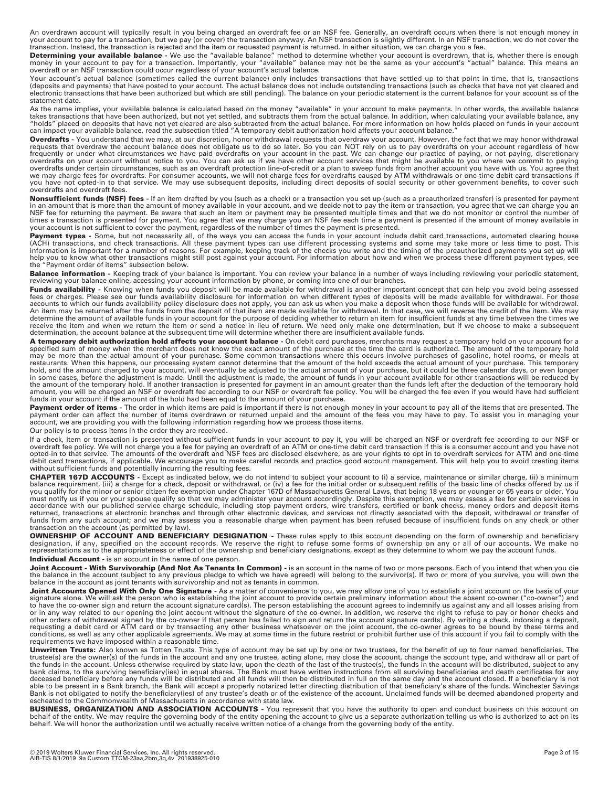An overdrawn account will typically result in you being charged an overdraft fee or an NSF fee. Generally, an overdraft occurs when there is not enough money in<br>your account to pay for a transaction, but we pay (or cover)

**Determining your available balance -** We use the "available balance" method to determine whether your account is overdrawn, that is, whether there is enough<br>money in your account to pay for a transaction. Importantly, you

Your account's actual balance (sometimes called the current balance) only includes transactions that have settled up to that point in time, that is, transactions (deposits and payments) that have posted to your account. The actual balance does not include outstanding transactions (such as checks that have not yet cleared and<br>electronic transactions that have been authorized but whi statement date.

As the name implies, your available balance is calculated based on the money "available" in your account to make payments. In other words, the available balance<br>takes transactions that have been authorized, but not yet set can impact your available balance, read the subsection titled "A temporary debit authorization hold affects your account balance.

**Overdrafts -** You understand that we may, at our discretion, honor withdrawal requests that overdraw your account. However, the fact that we may honor withdrawal requests that overdraw the account balance does not obligate us to do so later. So you can NOT rely on us to pay overdrafts on your account regardless of how frequently or under what circumstances we have paid overdrafts on your account in the past. We can change our practice of paying, or not paying, discretionary<br>overdrafts on your account without notice to you. You can ask u we may charge fees for overdrafts. For consumer accounts, we will not charge fees for overdrafts caused by ATM withdrawals or one-time debit card transactions if<br>you have not opted-in to that service. We may use subsequent overdrafts and overdraft fees.

**Nonsufficient funds (NSF) fees -** If an item drafted by you (such as a check) or a transaction you set up (such as a preauthorized transfer) is presented for payment<br>in an amount that is more than the amount of money avai times a transaction is presented for payment. You agree that we may charge you an NSF fee each time a payment is presented if the amount of money available in<br>your account is not sufficient to cover the payment, regardless

Payment types - Some, but not necessarily all, of the ways you can access the funds in your account include debit card transactions, automated clearing house (ACH) transactions, and check transactions. All these payment types can use different processing systems and some may take more or less time to post. This<br>information is important for a number of reasons. For example, keep help you to know what other transactions might still post against your account. For information about how and when we process these different payment types, see the "Payment order of items" subsection below.

Balance information - Keeping track of your balance is important. You can review your balance in a number of ways including reviewing your periodic statement, reviewing your balance online, accessing your account information by phone, or coming into one of our branches.

**Funds availability -** Knowing when funds you deposit will be made available for withdrawal is another important concept that can help you avoid being assessed<br>fees or charges. Please see our funds availability disclosure accounts to which our funds availability policy disclosure does not apply, you can ask us when you make a deposit when those funds will be available for withdrawal. An item may be returned after the funds from the deposit of that item are made available for withdrawal. In that case, we will reverse the credit of the item. We may<br>determine the amount of available funds in your account determination, the account balance at the subsequent time will determine whether there are insufficient available funds.

**A temporary debit authorization hold affects your account balance -** On debit card purchases, merchants may request a temporary hold on your account for a specified sum of money when the merchant does not know the exact amount of the purchase at the time the card is authorized. The amount of the temporary hold may be more than the actual amount of your purchase. Some common transactions where this occurs involve purchases of gasoline, hotel rooms, or meals at<br>restaurants. When this happens, our processing system cannot determine in some cases, before the adjustment is made. Until the adjustment is made, the amount of funds in your account available for other transactions will be reduced by<br>the amount of the temporary hold. If another transaction i funds in your account if the amount of the hold had been equal to the amount of your purchase.

**Payment order of items -** The order in which items are paid is important if there is not enough money in your account to pay all of the items that are presented. The<br>payment order can affect the number of items overdrawn account, we are providing you with the following information regarding how we process those items.

Our policy is to process items in the order they are received.

If a check, item or transaction is presented without sufficient funds in your account to pay it, you will be charged an NSF or overdraft fee according to our NSF or<br>overdraft fee policy. We will not charge you a fee for pa debit card transactions, if applicable. We encourage you to make careful records and practice good account management. This will help you to avoid creating items without sufficient funds and potentially incurring the resulting fees.

**CHAPTER 167D ACCOUNTS -** Except as indicated below, we do not intend to subject your account to (i) a service, maintenance or similar charge, (ii) a minimum balance requirement, (iii) a charge for a check, deposit or withdrawal, or (iv) a fee for the initial order or subsequent refills of the basic line of checks offered by us if<br>you qualify for the minor or senior citizen fee accordance with our published service charge schedule, including stop payment orders, wire transfers, certified or bank checks, money orders and deposit items returned, transactions at electronic branches and through other electronic devices, and services not directly associated with the deposit, withdrawal or transfer of<br>funds from any such account; and we may assess you a reas transaction on the account (as permitted by law).

**OWNERSHIP OF ACCOUNT AND BENEFICIARY DESIGNATION** - These rules apply to this account depending on the form of ownership and beneficiary<br>designation, if any, specified on the account records. We reserve the right to refus representations as to the appropriateness or effect of the ownership and beneficiary designations, except as they determine to whom we pay the account funds. **Individual Account -** is an account in the name of one person.

**Joint Account - With Survivorship (And Not As Tenants In Common) -** is an account in the name of two or more persons. Each of you intend that when you die the balance in the account (subject to any previous pledge to which we have agreed) will belong to the survivor(s). If two or more of you survive, you will own the balance in the account as joint tenants with survivorship and not as tenants in common.

**Joint Accounts Opened With Only One Signature -** As a matter of convenience to you, we may allow one of you to establish a joint account on the basis of your signature alone. We will ask the person who is establishing the joint account to provide certain preliminary information about the absent co-owner ("co-owner") and to have the co-owner sign and return the account signature card(s). The person establishing the account agrees to indemnify us against any and all losses arising from or in any way related to our opening the joint account without the signature of the co-owner. In addition, we reserve the right to refuse to pay or honor checks and<br>other orders of withdrawal signed by the co-owner if that requesting a debit card or ATM card or by transacting any other business whatsoever on the joint account, the co-owner agrees to be bound by these terms and<br>conditions, as well as any other applicable agreements. We may at requirements we have imposed within a reasonable time.

**Unwritten Trusts:** Also known as Totten Trusts. This type of account may be set up by one or two trustees, for the benefit of up to four named beneficiaries. The<br>trustee(s) are the owner(s) of the funds in the account and bank claims, to the surviving beneficiary(ies) in equal shares. The Bank must have written instructions from all surviving beneficiaries and death certificates for any<br>deceased beneficiary before any funds will be distribu able to be present in a Bank branch, the Bank will accept a properly notarized letter directing distribution of that beneficiary's share of the funds. Winchester Savings Bank is not obligated to notify the beneficiary(ies) of any trustee's death or of the existence of the account. Unclaimed funds will be deemed abandoned property and<br>escheated to the Commonwealth of Massachusetts in accord

**BUSINESS, ORGANIZATION AND ASSOCIATION ACCOUNTS** - You represent that you have the authority to open and conduct business on this account on<br>behalf of the entity. We may require the governing body of the entity opening th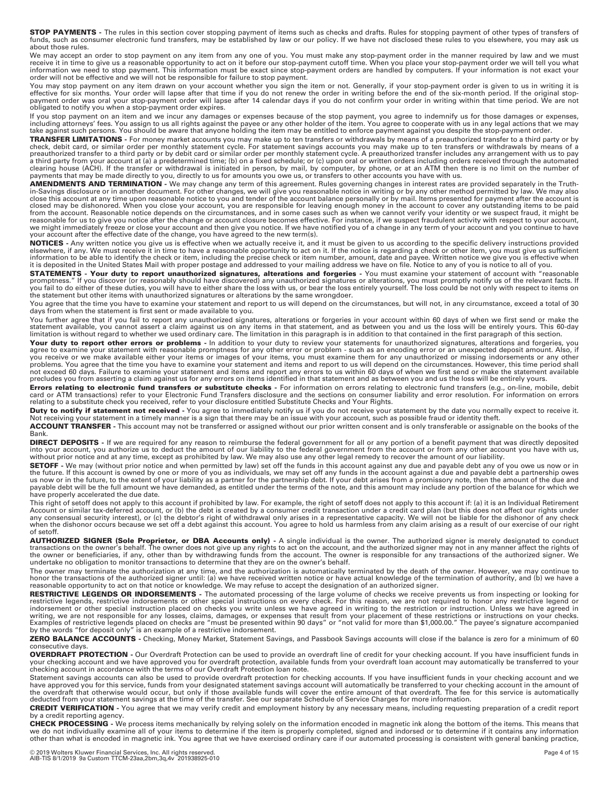**STOP PAYMENTS -** The rules in this section cover stopping payment of items such as checks and drafts. Rules for stopping payment of other types of transfers of funds, such as consumer electronic fund transfers, may be established by law or our policy. If we have not disclosed these rules to you elsewhere, you may ask us about those rules.

We may accept an order to stop payment on any item from any one of you. You must make any stop-payment order in the manner required by law and we must<br>receive it in time to give us a reasonable opportunity to act on it bef order will not be effective and we will not be responsible for failure to stop payment.

You may stop payment on any item drawn on your account whether you sign the item or not. Generally, if your stop-payment order is given to us in writing it is<br>effective for six months. Your order will lapse after that time obligated to notify you when a stop-payment order expires.

If you stop payment on an item and we incur any damages or expenses because of the stop payment, you agree to indemnify us for those damages or expenses, including attorneys' fees. You assign to us all rights against the payee or any other holder of the item. You agree to cooperate with us in any legal actions that we may take against such persons. You should be aware that anyone holding the item may be entitled to enforce payment against you despite the stop-payment order.

**TRANSFER LIMITATIONS -** For money market accounts you may make up to ten transfers or withdrawals by means of a preauthorized transfer to a third party or by check, debit card, or similar order per monthly statement cycle. For statement savings accounts you may make up to ten transfers or withdrawals by means of a preauthorized transfer to a third party or by debit card or similar order per monthly statement cycle. A preauthorized transfer includes any arrangement with us to pay<br>a third party from your account at (a) a predetermined payments that may be made directly to you, directly to us for amounts you owe us, or transfers to other accounts you have with us.

**AMENDMENTS AND TERMINATION -** We may change any term of this agreement. Rules governing changes in interest rates are provided separately in the Truthin-Savings disclosure or in another document. For other changes, we will give you reasonable notice in writing or by any other method permitted by law. We may also close this account at any time upon reasonable notice to you and tender of the account balance personally or by mail. Items presented for payment after the account is<br>closed may be dishonored. When you close your account, reasonable for us to give you notice after the change or account closure becomes effective. For instance, if we suspect fraudulent activity with respect to your account,<br>we might immediately freeze or close your account an your account after the effective date of the change, you have agreed to the new term(s).

**NOTICES -** Any written notice you give us is effective when we actually receive it, and it must be given to us according to the specific delivery instructions provided<br>elsewhere, if any. We must receive it in time to have it is deposited in the United States Mail with proper postage and addressed to your mailing address we have on file. Notice to any of you is notice to all of you.

**STATEMENTS - Your duty to report unauthorized signatures, alterations and forgeries - You must examine your statement of account with "reasonable** promptness." If you discover (or reasonably should have discovered) any unauthorized signatures or alterations, you must promptly notify us of the relevant facts. If you fail to do either of these duties, you will have to either share the loss with us, or bear the loss entirely yourself. The loss could be not only with respect to items on<br>the statement but other items with unauthorized

You agree that the time you have to examine your statement and report to us will depend on the circumstances, but will not, in any circumstance, exceed a total of 30 days from when the statement is first sent or made available to you.

You further agree that if you fail to report any unauthorized signatures, alterations or forgeries in your account within 60 days of when we first send or make the statement available, you cannot assert a claim against us on any items in that statement, and as between you and us the loss will be entirely yours. This 60-day limitation is without regard to whether we used ordinary care. The limitation in this paragraph is in addition to that contained in the first paragraph of this section.

**Your duty to report other errors or problems** - In addition to your duty to review your statements for unauthorized signatures, alterations and forgeries, you<br>agree to examine your statement with reasonable promptness for not exceed 60 days. Failure to examine your statement and items and report any errors to us within 60 days of when we first send or make the statement available precludes you from asserting a claim against us for any errors on items identified in that statement and as between you and us the loss will be entirely yours.

**Errors relating to electronic fund transfers or substitute checks** - For information on errors relating to electronic fund transfers (e.g., on-line, mobile, debit<br>card or ATM transactions) refer to your Electronic Fund Tr

**Duty to notify if statement not received -** You agree to immediately notify us if you do not receive your statement by the date you normally expect to receive it.<br>Not receiving your statement in a timely manner is a sign Not receiving your statement in a timely manner is a sign that there may be an issue with your account, such as possible fraud or identity theft.

**ACCOUNT TRANSFER -** This account may not be transferred or assigned without our prior written consent and is only transferable or assignable on the books of the Bank.

**DIRECT DEPOSITS -** If we are required for any reason to reimburse the federal government for all or any portion of a benefit payment that was directly deposited into your account, you authorize us to deduct the amount of our liability to the federal government from the account or from any other account you have with us,<br>without prior notice and at any time, except as prohibited by

**SETOFF -** We may (without prior notice and when permitted by law) set off the funds in this account against any due and payable debt any of you owe us now or in<br>the future. If this account is owned by one or more of you a payable debt will be the full amount we have demanded, as entitled under the terms of the note, and this amount may include any portion of the balance for which we have properly accelerated the due date.

This right of setoff does not apply to this account if prohibited by law. For example, the right of setoff does not apply to this account if: (a) it is an Individual Retirement Account or similar tax-deferred account, or (b) the debt is created by a consumer credit transaction under a credit card plan (but this does not affect our rights under<br>any consensual security interest), or (c) the debtor' of setoff.

**AUTHORIZED SIGNER (Sole Proprietor, or DBA Accounts only)** - A single individual is the owner. The authorized signer is merely designated to conduct<br>transactions on the owner's behalf. The owner does not give up any right the owner or beneficiaries, if any, other than by withdrawing funds from the account. The owner is responsible for any transactions of the authorized signer. We undertake no obligation to monitor transactions to determine that they are on the owner's behalf.

The owner may terminate the authorization at any time, and the authorization is automatically terminated by the death of the owner. However, we may continue to honor the transactions of the authorized signer until: (a) we have received written notice or have actual knowledge of the termination of authority, and (b) we have a reasonable opportunity to act on that notice or knowledge. We may refuse to accept the designation of an authorized signer.

**RESTRICTIVE LEGENDS OR INDORSEMENTS** - The automated processing of the large volume of checks we receive prevents us from inspecting or looking for<br>restrictive legends, restrictive indorsements or other special instructio indorsement or other special instruction placed on checks you write unless we have agreed in writing to the restriction or instruction. Unless we have agreed in writing, we are not responsible for any losses, claims, damages, or expenses that result from your placement of these restrictions or instructions on your checks.<br>Examples of restrictive legends placed on checks are "must

**ZERO BALANCE ACCOUNTS -** Checking, Money Market, Statement Savings, and Passbook Savings accounts will close if the balance is zero for a minimum of 60 consecutive days.

**OVERDRAFT PROTECTION -** Our Overdraft Protection can be used to provide an overdraft line of credit for your checking account. If you have insufficient funds in your checking account and we have approved you for overdraft protection, available funds from your overdraft loan account may automatically be transferred to your<br>checking account in accordance with the terms of our Overdr

Statement savings accounts can also be used to provide overdraft protection for checking accounts. If you have insufficient funds in your checking account and we have approved you for this service, funds from your designated statement savings account will automatically be transferred to your checking account in the amount of<br>the overdraft that otherwise would occur, but only if tho deducted from your statement savings at the time of the transfer. See our separate Schedule of Service Charges for more information.

**CREDIT VERIFICATION -** You agree that we may verify credit and employment history by any necessary means, including requesting preparation of a credit report by a credit reporting agency.

**CHECK PROCESSING -** We process items mechanically by relying solely on the information encoded in magnetic ink along the bottom of the items. This means that we do not individually examine all of your items to determine if the item is properly completed, signed and indorsed or to determine if it contains any information<br>other than what is encoded in magnetic ink. You agree that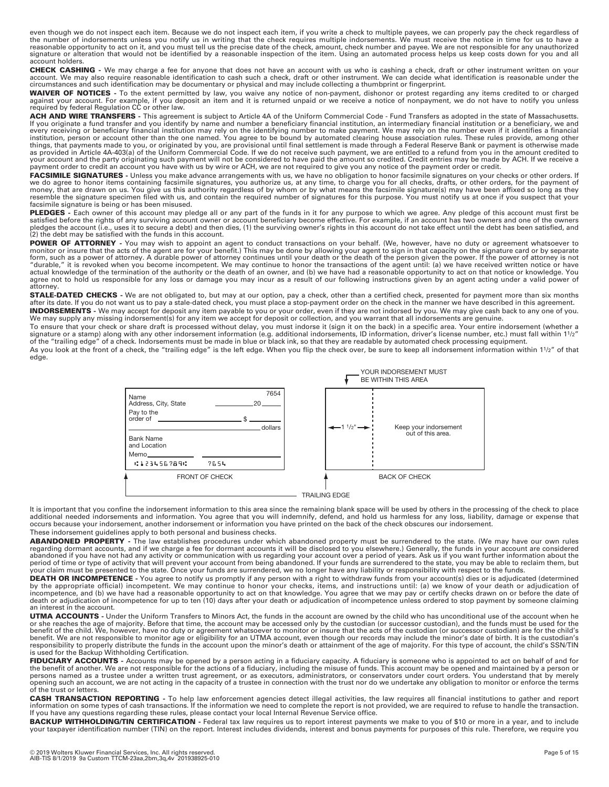even though we do not inspect each item. Because we do not inspect each item, if you write a check to multiple payees, we can properly pay the check regardless of<br>the number of indorsements unless you notify us in writing reasonable opportunity to act on it, and you must tell us the precise date of the check, amount, check number and payee. We are not responsible for any unauthorized signature or alteration that would not be identified by a reasonable inspection of the item. Using an automated process helps us keep costs down for you and all account holders.

**CHECK CASHING** - We may charge a fee for anyone that does not have an account with us who is cashing a check, draft or other instrument written on your<br>account. We may also require reasonable identification to cash such a circumstances and such identification may be documentary or physical and may include collecting a thumbprint or fingerprint.

**WAIVER OF NOTICES -** To the extent permitted by law, you waive any notice of non-payment, dishonor or protest regarding any items credited to or charged against your account. For example, if you deposit an item and it is returned unpaid or we receive a notice of nonpayment, we do not have to notify you unless required by federal Regulation CC or other law.

**ACH AND WIRE TRANSFERS -** This agreement is subject to Article 4A of the Uniform Commercial Code - Fund Transfers as adopted in the state of Massachusetts. If you originate a fund transfer and you identify by name and number a beneficiary financial institution, an intermediary financial institution or a beneficiary, we and every receiving or beneficiary financial institution may rely on the identifying number to make payment. We may rely on the number even if it identifies a financial<br>institution, person or account other than the one named. your account and the party originating such payment will not be considered to have paid the amount so credited. Credit entries may be made by ACH. If we receive a payment order to credit an account you have with us by wire or ACH, we are not required to give you any notice of the payment order or credit.

**FACSIMILE SIGNATURES -** Unless you make advance arrangements with us, we have no obligation to honor facsimile signatures on your checks or other orders. If<br>we do agree to honor items containing facsimile signatures, you facsimile signature is being or has been misused.

PLEDGES - Each owner of this account may pledge all or any part of the funds in it for any purpose to which we agree. Any pledge of this account must first be satisfied before the rights of any surviving account owner or account beneficiary become effective. For example, if an account has two owners and one of the owners<br>pledges the account (i.e., uses it to secure a debt) and t (2) the debt may be satisfied with the funds in this account.

**POWER OF ATTORNEY** - You may wish to appoint an agent to conduct transactions on your behalf. (We, however, have no duty or agreement whatsoever to<br>monitor or insure that the acts of the agent are for your benefit.) This "durable," it is revoked when you become incompetent. We may continue to honor the transactions of the agent until: (a) we have received written notice or have actual knowledge of the termination of the authority or the death of an owner, and (b) we have had a reasonable opportunity to act on that notice or knowledge. You agree not to hold us responsible for any loss or damage you may incur as a result of our following instructions given by an agent acting under a valid power of attorney.

**STALE-DATED CHECKS** - We are not obligated to, but may at our option, pay a check, other than a certified check, presented for payment more than six months<br>after its date. If you do not want us to pay a stale-dated check, **INDORSEMENTS -** We may accept for deposit any item payable to you or your order, even if they are not indorsed by you. We may give cash back to any one of you.<br>We may supply any missing indorsement(s) for any item we acce

To ensure that your check or share draft is processed without delay, you must indorse it (sign it on the back) in a specific area. Your entire indorsement (whether a<br>signature or a stamp) along with any other indorsement i

As you look at the front of a check, the "trailing edge" is the left edge. When you flip the check over, be sure to keep all indorsement information within 11/2" of that edge.



It is important that you confine the indorsement information to this area since the remaining blank space will be used by others in the processing of the check to place<br>additional needed indorsements and information. You a occurs because your indorsement, another indorsement or information you have printed on the back of the check obscures our indorsement.

These indorsement guidelines apply to both personal and business checks.

**ABANDONED PROPERTY** - The law establishes procedures under which abandoned property must be surrendered to the state. (We may have our own rules<br>regarding dormant accounts, and if we charge a fee for dormant accounts it w abandoned if you have not had any activity or communication with us regarding your account over a period of years. Ask us if you want further information about the period of time or type of activity that will prevent your account from being abandoned. If your funds are surrendered to the state, you may be able to reclaim them, but<br>your claim must be presented to the state. Once your

**DEATH OR INCOMPETENCE** - You agree to notify us promptly if any person with a right to withdraw funds from your account(s) dies or is adjudicated (determined by the appropriate official) incompetent. We may continue to honor your checks, items, and instructions until: (a) we know of your death or adjudication of<br>incompetence, and (b) we have had a reasonable opportunity to act death or adjudication of incompetence for up to ten (10) days after your death or adjudication of incompetence unless ordered to stop payment by someone claiming an interest in the account.

**UTMA ACCOUNTS -** Under the Uniform Transfers to Minors Act, the funds in the account are owned by the child who has unconditional use of the account when he or she reaches the age of majority. Before that time, the account may be accessed only by the custodian (or successor custodian), and the funds must be used for the benefit of the child. We, however, have no duty or agreement whatsoever to monitor or insure that the acts of the custodian (or successor custodian) are for the child's<br>benefit. We are not responsible to monitor age or eli responsibility to properly distribute the funds in the account upon the minor's death or attainment of the age of majority. For this type of account, the child's SSN/TIN is used for the Backup Withholding Certification.

FIDUCIARY ACCOUNTS - Accounts may be opened by a person acting in a fiduciary capacity. A fiduciary is someone who is appointed to act on behalf of and for the benefit of another. We are not responsible for the actions of a fiduciary, including the misuse of funds. This account may be opened and maintained by a person or persons named as a trustee under a written trust agreement, or as executors, administrators, or conservators under court orders. You understand that by merely<br>opening such an account, we are not acting in the capacity of a of the trust or letters.

**CASH TRANSACTION REPORTING** - To help law enforcement agencies detect illegal activities, the law requires all financial institutions to gather and report<br>information on some types of cash transactions. If the information If you have any questions regarding these rules, please contact your local Internal Revenue Service office.

**BACKUP WITHHOLDING/TIN CERTIFICATION -** Federal tax law requires us to report interest payments we make to you of \$10 or more in a year, and to include your taxpayer identification number (TIN) on the report. Interest includes dividends, interest and bonus payments for purposes of this rule. Therefore, we require you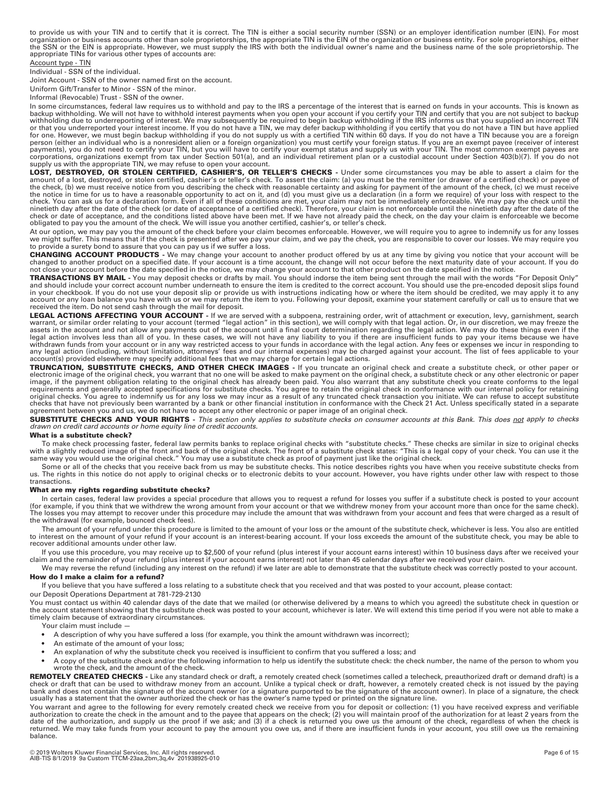to provide us with your TIN and to certify that it is correct. The TIN is either a social security number (SSN) or an employer identification number (EIN). For most<br>organization or business accounts other than sole proprie appropriate TINs for various other types of accounts are:

#### Account type - TIN

Individual - SSN of the individual.

Joint Account - SSN of the owner named first on the account.

Uniform Gift/Transfer to Minor - SSN of the minor.

Informal (Revocable) Trust - SSN of the owner.

In some circumstances, federal law requires us to withhold and pay to the IRS a percentage of the interest that is earned on funds in your accounts. This is known as<br>backup withholding. We will not have to withhold interes or that you underreported your interest income. If you do not have a TIN, we may defer backup withholding if you certify that you do not have a TIN but have applied for one. However, we must begin backup withholding if you do not supply us with a certified TIN within 60 days. If you do not have a TIN because you are a foreign<br>person (either an individual who is a nonresident alien or corporations, organizations exempt from tax under Section 501(a), and an individual retirement plan or a custodial account under Section 403(b)(7). If you do not<br>supply us with the appropriate TIN, we may refuse to open yo

**LOST, DESTROYED, OR STOLEN CERTIFIED, CASHIER'S, OR TELLER'S CHECKS -** Under some circumstances you may be able to assert a claim for the amount of a lost, destroyed, or stolen certified, cashier's or teller's check. To assert the claim: (a) you must be the remitter (or drawer of a certified check) or payee of<br>the check, (b) we must receive notice from you d the notice in time for us to have a reasonable opportunity to act on it, and (d) you must give us a declaration (in a form we require) of your loss with respect to the check. You can ask us for a declaration form. Even if all of these conditions are met, your claim may not be immediately enforceable. We may pay the check until the<br>ninetieth day after the date of the check (or date of acc check or date of acceptance, and the conditions listed above have been met. If we have not already paid the check, on the day your claim is enforceable we become<br>obligated to pay you the amount of the check. We will issue

At our option, we may pay you the amount of the check before your claim becomes enforceable. However, we will require you to agree to indemnify us for any losses we might suffer. This means that if the check is presented after we pay your claim, and we pay the check, you are responsible to cover our losses. We may require you to provide a surety bond to assure that you can pay us if we suffer a loss.

**CHANGING ACCOUNT PRODUCTS -** We may change your account to another product offered by us at any time by giving you notice that your account will be changed to another product on a specified date. If your account is a time account, the change will not occur before the next maturity date of your account. If you do not close your account before the date specified in the notice, we may change your account to that other product on the date specified in the notice.

**TRANSACTIONS BY MAIL -** You may deposit checks or drafts by mail. You should indorse the item being sent through the mail with the words "For Deposit Only" and should include your correct account number underneath to ensure the item is credited to the correct account. You should use the pre-encoded deposit slips found in your checkbook. If you do not use your deposit slip or provide us with instructions indicating how or where the item should be credited, we may apply it to any<br>account or any loan balance you have with us or we may retu received the item. Do not send cash through the mail for deposit.

**LEGAL ACTIONS AFFECTING YOUR ACCOUNT** - If we are served with a subpoena, restraining order, writ of attachment or execution, levy, garnishment, search<br>warrant, or similar order relating to your account (termed "legal act assets in the account and not allow any payments out of the account until a final court determination regarding the legal action. We may do these things even if the legal action involves less than all of you. In these cases, we will not have any liability to you if there are insufficient funds to pay your items because we have<br>withdrawn funds from your account or in any way restricted any legal action (including, without limitation, attorneys' fees and our internal expenses) may be charged against your account. The list of fees applicable to your account(s) provided elsewhere may specify additional fees that we may charge for certain legal actions.

**TRUNCATION, SUBSTITUTE CHECKS, AND OTHER CHECK IMAGES -** If you truncate an original check and create a substitute check, or other paper or electronic image of the original check, you warrant that no one will be asked to make payment on the original check, a substitute check or any other electronic or paper<br>image, if the payment obligation relating to the orig checks that have not previously been warranted by a bank or other financial institution in conformance with the Check 21 Act. Unless specifically stated in a separate agreement between you and us, we do not have to accept any other electronic or paper image of an original check.

**SUBSTITUTE CHECKS AND YOUR RIGHTS -** *This section only applies to substitute checks on consumer accounts at this Bank. This does not apply to checks drawn on credit card accounts or home equity line of credit accounts.*

### **What is a substitute check?**

To make check processing faster, federal law permits banks to replace original checks with "substitute checks." These checks are similar in size to original checks with a slightly reduced image of the front and back of the original check. The front of a substitute check states: "This is a legal copy of your check. You can use it the<br>same way you would use the original check." You may

Some or all of the checks that you receive back from us may be substitute checks. This notice describes rights you have when you receive substitute checks from us. The rights in this notice do not apply to original checks or to electronic debits to your account. However, you have rights under other law with respect to those transactions.

#### **What are my rights regarding substitute checks?**

In certain cases, federal law provides a special procedure that allows you to request a refund for losses you suffer if a substitute check is posted to your account<br>.(for example, if you think that we withdrew the wrong am The losses you may attempt to recover under this procedure may include the amount that was withdrawn from your account and fees that were charged as a result of the withdrawal (for example, bounced check fees).

The amount of your refund under this procedure is limited to the amount of your loss or the amount of the substitute check, whichever is less. You also are entitled to interest on the amount of your refund if your account is an interest-bearing account. If your loss exceeds the amount of the substitute check, you may be able to recover additional amounts under other law.

If you use this procedure, you may receive up to \$2,500 of your refund (plus interest if your account earns interest) within 10 business days after we received your claim and the remainder of your refund (plus interest if your account earns interest) not later than 45 calendar days after we received your claim.

We may reverse the refund (including any interest on the refund) if we later are able to demonstrate that the substitute check was correctly posted to your account. **How do I make a claim for a refund?** 

If you believe that you have suffered a loss relating to a substitute check that you received and that was posted to your account, please contact: our Deposit Operations Department at 781-729-2130

You must contact us within 40 calendar days of the date that we mailed (or otherwise delivered by a means to which you agreed) the substitute check in question or the account statement showing that the substitute check was posted to your account, whichever is later. We will extend this time period if you were not able to make a timely claim because of extraordinary circumstances.

Your claim must include —

- A description of why you have suffered a loss (for example, you think the amount withdrawn was incorrect);
- An estimate of the amount of your loss;
- An explanation of why the substitute check you received is insufficient to confirm that you suffered a loss; and
- A copy of the substitute check and/or the following information to help us identify the substitute check: the check number, the name of the person to whom you wrote the check, and the amount of the check.

REMOTELY CREATED CHECKS - Like any standard check or draft, a remotely created check (sometimes called a telecheck, preauthorized draft or demand draft) is a check or draft that can be used to withdraw money from an account. Unlike a typical check or draft, however, a remotely created check is not issued by the paying bank and does not contain the signature of the account owner (or a signature purported to be the signature of the account owner). In place of a signature, the check<br>usually has a statement that the owner authorized the che

You warrant and agree to the following for every remotely created check we receive from you for deposit or collection: (1) you have received express and verifiable authorization to create the check in the amount and to the payee that appears on the check; (2) you will maintain proof of the authorization for at least 2 years from the<br>date of the authorization, and supply us the proof returned. We may take funds from your account to pay the amount you owe us, and if there are insufficient funds in your account, you still owe us the remaining balance.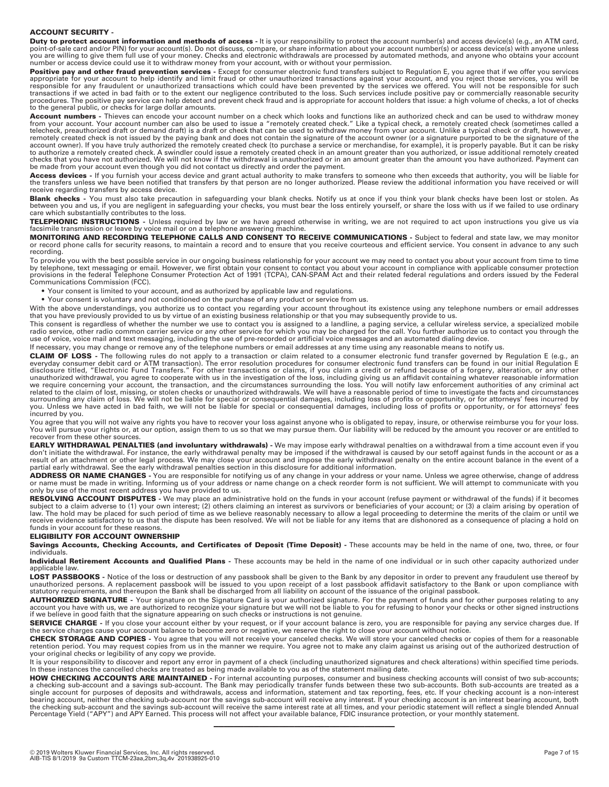#### **ACCOUNT SECURITY -**

Duty to protect account information and methods of access - It is your responsibility to protect the account number(s) and access device(s) (e.g., an ATM card, point-of-sale card and/or PIN) for your account(s). Do not discuss, compare, or share information about your account number(s) or access device(s) with anyone unless<br>you are willing to give them full use of your money. Che number or access device could use it to withdraw money from your account, with or without your permission.

Positive pay and other fraud prevention services - Except for consumer electronic fund transfers subject to Regulation E, you agree that if we offer you services appropriate for your account to help identify and limit fraud or other unauthorized transactions against your account, and you reject those services, you will be<br>responsible for any fraudulent or unauthorized transactions transactions if we acted in bad faith or to the extent our negligence contributed to the loss. Such services include positive pay or commercially reasonable security procedures. The positive pay service can help detect and prevent check fraud and is appropriate for account holders that issue: a high volume of checks, a lot of checks to the general public, or checks for large dollar amounts.

**Account numbers -** Thieves can encode your account number on a check which looks and functions like an authorized check and can be used to withdraw money from your account. Your account number can also be used to issue a "remotely created check." Like a typical check, a remotely created check (sometimes called a telecheck, preauthorized draft or demand draft) is a draft or check that can be used to withdraw money from your account. Unlike a typical check or draft, however, a remotely created check is not issued by the paying bank and does not contain the signature of the account owner (or a signature purported to be the signature of the<br>account owner). If you have truly authorized the remotely be made from your account even though you did not contact us directly and order the payment.

**Access devices** - If you furnish your access device and grant actual authority to make transfers to someone who then exceeds that authority, you will be liable for<br>the transfers unless we have been notified that transfers receive regarding transfers by access device.

**Blank checks** - You must also take precaution in safeguarding your blank checks. Notify us at once if you think your blank checks have been lost or stolen. As<br>between you and us, if you are negligent in safeguarding your

**TELEPHONIC INSTRUCTIONS** - Unless required by law or we have agreed otherwise in writing, we are not required to act upon instructions you give us via<br>facsimile transmission or leave by voice mail or on a telephone answer

**MONITORING AND RECORDING TELEPHONE CALLS AND CONSENT TO RECEIVE COMMUNICATIONS - Subject to federal and state law, we may monitor** or record phone calls for security reasons, to maintain a record and to ensure that you receive courteous and efficient service. You consent in advance to any such recording.

To provide you with the best possible service in our ongoing business relationship for your account we may need to contact you about your account from time to time by telephone, text messaging or email. However, we first obtain your consent to contact you about your account in compliance with applicable consumer protection<br>provisions in the federal Telephone Consumer Protection Act o Communications Commission (FCC).

- Your consent is limited to your account, and as authorized by applicable law and regulations.
- Your consent is voluntary and not conditioned on the purchase of any product or service from us.

With the above understandings, you authorize us to contact you regarding your account throughout its existence using any telephone numbers or email addresses that you have previously provided to us by virtue of an existing business relationship or that you may subsequently provide to us.

This consent is regardless of whether the number we use to contact you is assigned to a landline, a paging service, a cellular wireless service, a specialized mobile radio service, other radio common carrier service or any other service for which you may be charged for the call. You further authorize us to contact you through the<br>use of voice, voice mail and text messaging, including t

If necessary, you may change or remove any of the telephone numbers or email addresses at any time using any reasonable means to notify us.

**CLAIM OF LOSS -** The following rules do not apply to a transaction or claim related to a consumer electronic fund transfer governed by Regulation E (e.g., an everyday consumer debit card or ATM transaction). The error resolution procedures for consumer electronic fund transfers can be found in our initial Regulation E<br>disclosure titled, "Electronic Fund Transfers." For other tr unauthorized withdrawal, you agree to cooperate with us in the investigation of the loss, including giving us an affidavit containing whatever reasonable information<br>we require concerning your account, the transaction, and

You agree that you will not waive any rights you have to recover your loss against anyone who is obligated to repay, insure, or otherwise reimburse you for your loss. You will pursue your rights or, at our option, assign them to us so that we may pursue them. Our liability will be reduced by the amount you recover or are entitled to recover from these other sources.

**EARLY WITHDRAWAL PENALTIES (and involuntary withdrawals)** - We may impose early withdrawal penalties on a withdrawal from a time account even if you don't initiate the withdrawal. For instance, the early withdrawal penalty may be imposed if the withdrawal is caused by our setoff against funds in the account or as a<br>result of an attachment or other legal process. We may partial early withdrawal. See the early withdrawal penalties section in this disclosure for additional information.

**ADDRESS OR NAME CHANGES -** You are responsible for notifying us of any change in your address or your name. Unless we agree otherwise, change of address<br>or name must be made in writing. Informing us of your address or nam only by use of the most recent address you have provided to us.

**RESOLVING ACCOUNT DISPUTES** - We may place an administrative hold on the funds in your account (refuse payment or withdrawal of the funds) if it becomes<br>subject to a claim adverse to (1) your own interest; (2) others clai law. The hold may be placed for such period of time as we believe reasonably necessary to allow a legal proceeding to determine the merits of the claim or until we receive evidence satisfactory to us that the dispute has been resolved. We will not be liable for any items that are dishonored as a consequence of placing a hold on funds in your account for these reasons.

### **ELIGIBILITY FOR ACCOUNT OWNERSHIP**

Savings Accounts, Checking Accounts, and Certificates of Deposit (Time Deposit) - These accounts may be held in the name of one, two, three, or four individuals.

**Individual Retirement Accounts and Qualified Plans -** These accounts may be held in the name of one individual or in such other capacity authorized under applicable law.

LOST PASSBOOKS - Notice of the loss or destruction of any passbook shall be given to the Bank by any depositor in order to prevent any fraudulent use thereof by unauthorized persons. A replacement passbook will be issued to you upon receipt of a lost passbook affidavit satisfactory to the Bank or upon compliance with statutory requirements, and thereupon the Bank shall be discharged from all liability on account of the issuance of the original passbook.

**AUTHORIZED SIGNATURE -** Your signature on the Signature Card is your authorized signature. For the payment of funds and for other purposes relating to any account you have with us, we are authorized to recognize your signature but we will not be liable to you for refusing to honor your checks or other signed instructions if we believe in good faith that the signature appearing on such checks or instructions is not genuine.

**SERVICE CHARGE -** If you close your account either by your request, or if your account balance is zero, you are responsible for paying any service charges due. If the service charges cause your account balance to become zero or negative, we reserve the right to close your account without notice.

**CHECK STORAGE AND COPIES -** You agree that you will not receive your canceled checks. We will store your canceled checks or copies of them for a reasonable<br>retention period. You may request copies from us in the manner we your original checks or legibility of any copy we provide.

It is your responsibility to discover and report any error in payment of a check (including unauthorized signatures and check alterations) within specified time periods.<br>In these instances the cancelled checks are treated

**HOW CHECKING ACCOUNTS ARE MAINTAINED -** For internal accounting purposes, consumer and business checking accounts will consist of two sub-accounts;<br>a checking sub-account and a savings sub-account. The Bank may periodical the checking sub-account and the savings sub-account will receive the same interest rate at all times, and your periodic statement will reflect a single blended Annual<br>Percentage Yield ("APY") and APY Earned. This process

————————————————————————————————————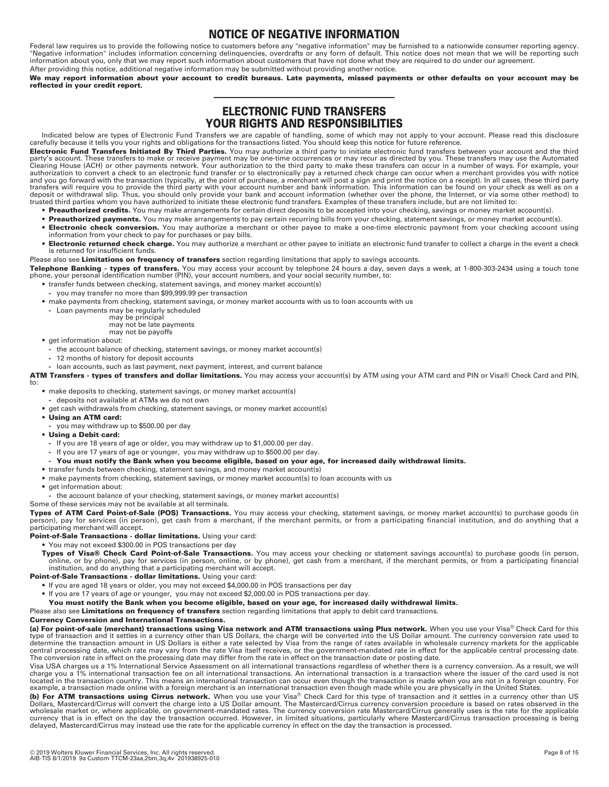# **NOTICE OF NEGATIVE INFORMATION**

Federal law requires us to provide the following notice to customers before any "negative information" may be furnished to a nationwide consumer reporting agency.<br>"Negative information" includes information concerning deli After providing this notice, additional negative information may be submitted without providing another notice.

**We may report information about your account to credit bureaus. Late payments, missed payments or other defaults on your account may be reflected in your credit report.**

# ———————————————————————————————————— **ELECTRONIC FUND TRANSFERS YOUR RIGHTS AND RESPONSIBILITIES**

Indicated below are types of Electronic Fund Transfers we are capable of handling, some of which may not apply to your account. Please read this disclosure carefully because it tells you your rights and obligations for the transactions listed. You should keep this notice for future reference.

**Electronic Fund Transfers Initiated By Third Parties.** You may authorize a third party to initiate electronic fund transfers between your account and the third party's account. These transfers to make or receive payment may be one-time occurrences or may recur as directed by you. These transfers may use the Automated<br>Clearing House (ACH) or other payments network. Your authorizat authorization to convert a check to an electronic fund transfer or to electronically pay a returned check charge can occur when a merchant provides you with notice and you go forward with the transaction (typically, at the point of purchase, a merchant will post a sign and print the notice on a receipt). In all cases, these third party transfers will require you to provide the third party with your account number and bank information. This information can be found on your check as well as on a<br>deposit or withdrawal slip. Thus, you should only provide you trusted third parties whom you have authorized to initiate these electronic fund transfers. Examples of these transfers include, but are not limited to:

- **Preauthorized credits.** You may make arrangements for certain direct deposits to be accepted into your checking, savings or money market account(s).
- **Preauthorized payments.** You may make arrangements to pay certain recurring bills from your checking, statement savings, or money market account(s).
- **Electronic check conversion.** You may authorize a merchant or other payee to make a one-time electronic payment from your checking account using information from your check to pay for purchases or pay bills.
- **Electronic returned check charge.** You may authorize a merchant or other payee to initiate an electronic fund transfer to collect a charge in the event a check is returned for insufficient funds.

#### Please also see **Limitations on frequency of transfers** section regarding limitations that apply to savings accounts. **Telephone Banking - types of transfers.** You may access your account by telephone 24 hours a day, seven days a week, at 1-800-303-2434 using a touch tone

- phone, your personal identification number (PIN), your account numbers, and your social security number, to:
	- **•** transfer funds between checking, statement savings, and money market account(s) **-** you may transfer no more than \$99,999.99 per transaction
	- **•** make payments from checking, statement savings, or money market accounts with us to loan accounts with us
		- **-** Loan payments may be regularly scheduled

may be principal

- may not be late payments may not be payoffs
- **•** get information about:
	- **-** the account balance of checking, statement savings, or money market account(s)
	- **-** 12 months of history for deposit accounts

**-** loan accounts, such as last payment, next payment, interest, and current balance

**ATM Transfers - types of transfers and dollar limitations.** You may access your account(s) by ATM using your ATM card and PIN or Visa® Check Card and PIN,

to:

- **•** make deposits to checking, statement savings, or money market account(s)
	- **-** deposits not available at ATMs we do not own
- **•** get cash withdrawals from checking, statement savings, or money market account(s)
- **Using an ATM card:**
- **-** you may withdraw up to \$500.00 per day
- **Using a Debit card:**
	- **-** If you are 18 years of age or older, you may withdraw up to \$1,000.00 per day.
	- If you are 17 years of age or younger, you may withdraw up to \$500.00 per day.
- **You must notify the Bank when you become eligible, based on your age, for increased daily withdrawal limits.**
- **•** transfer funds between checking, statement savings, and money market account(s)
- make payments from checking, statement savings, or money market account(s) to loan accounts with us
- **•** get information about:
- **-** the account balance of your checking, statement savings, or money market account(s)
- Some of these services may not be available at all terminals.

**Types of ATM Card Point-of-Sale (POS) Transactions.** You may access your checking, statement savings, or money market account(s) to purchase goods (in<br>person), pay for services (in person), get cash from a merchant, if th participating merchant will accept.

**Point-of-Sale Transactions - dollar limitations.** Using your card:

**•** You may not exceed \$300.00 in POS transactions per day

Types of Visa® Check Card Point-of-Sale Transactions. You may access your checking or statement savings account(s) to purchase goods (in person, online, or by phone), pay for services (in person, online, or by phone), get cash from a merchant, if the merchant permits, or from a participating financial<br>institution, and do anything that a participating merchant will

**Point-of-Sale Transactions - dollar limitations.** Using your card:

- **•** If you are aged 18 years or older, you may not exceed \$4,000.00 in POS transactions per day
- **•** If you are 17 years of age or younger, you may not exceed \$2,000.00 in POS transactions per day.
- **You must notify the Bank when you become eligible, based on your age, for increased daily withdrawal limits.**

Please also see **Limitations on frequency of transfers** section regarding limitations that apply to debit card transactions.

#### **Currency Conversion and International Transactions.**

**(a) For point-of-sale (merchant) transactions using Visa network and ATM transactions using Plus network.** When you use your Visa® Check Card for this type of transaction and it settles in a currency other than US Dollars, the charge will be converted into the US Dollar amount. The currency conversion rate used to<br>determine the transaction amount in US Dollars is either central processing date, which rate may vary from the rate Visa itself receives, or the government-mandated rate in effect for the applicable central processing date. The conversion rate in effect on the processing date may differ from the rate in effect on the transaction date or posting date.

Visa USA charges us a 1% International Service Assessment on all international transactions regardless of whether there is a currency conversion. As a result, we will charge you a 1% international transaction fee on all international transactions. An international transaction is a transaction where the issuer of the card used is not located in the transaction country. This means an international transaction can occur even though the transaction is made when you are not in a foreign country. For<br>example, a transaction made online with a foreign merchan

**(b) For ATM transactions using Cirrus network.** When you use your Visa® Check Card for this type of transaction and it settles in a currency other than US Dollars, Mastercard/Cirrus will convert the charge into a US Dollar amount. The Mastercard/Cirrus currency conversion procedure is based on rates observed in the<br>wholesale market or, where applicable, on government-mandate currency that is in effect on the day the transaction occurred. However, in limited situations, particularly where Mastercard/Cirrus transaction processing is being delayed, Mastercard/Cirrus may instead use the rate for the applicable currency in effect on the day the transaction is processed.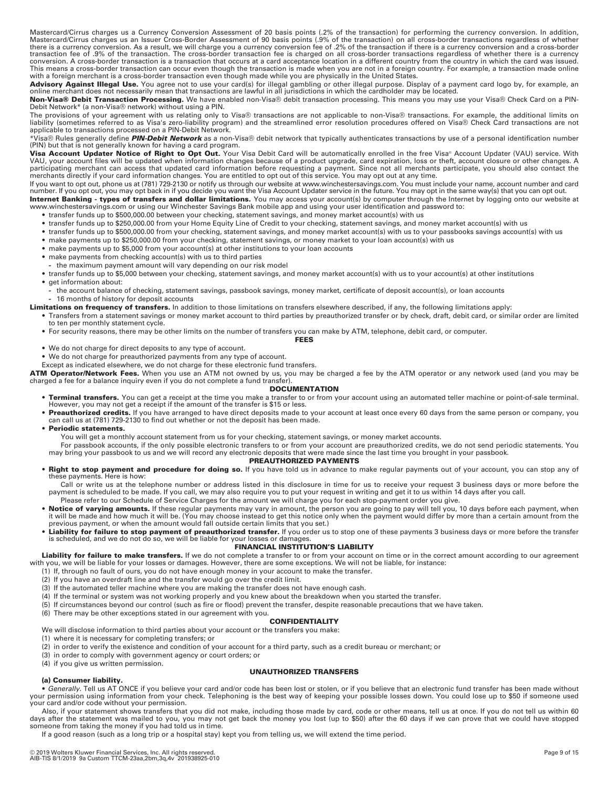Mastercard/Cirrus charges us a Currency Conversion Assessment of 20 basis points (.2% of the transaction) for performing the currency conversion. In addition,<br>Mastercard/Cirrus charges us an Issuer Cross-Border Assessment there is a currency conversion. As a result, we will charge you a currency conversion fee of .2% of the transaction if there is a currency conversion and a cross-border transaction fee of .9% of the transaction. The cross-border transaction fee is charged on all cross-border transactions regardless of whether there is a currency conversion. A cross-border transaction is a transaction that occurs at a card acceptance location in a different country from the country in which the card was issued.<br>This means a cross-border transaction can occur even t with a foreign merchant is a cross-border transaction even though made while you are physically in the United States.

Advisory Against Illegal Use. You agree not to use your card(s) for illegal gambling or other illegal purpose. Display of a payment card logo by, for example, an online merchant does not necessarily mean that transactions are lawful in all jurisdictions in which the cardholder may be located.

**Non-Visa® Debit Transaction Processing.** We have enabled non-Visa® debit transaction processing. This means you may use your Visa® Check Card on a PIN-Debit Network\* (a non-Visa® network) without using a PIN.

The provisions of your agreement with us relating only to Visa® transactions are not applicable to non-Visa® transactions. For example, the additional limits on liability (sometimes referred to as Visa's zero-liability program) and the streamlined error resolution procedures offered on Visa® Check Card transactions are not<br>applicable to transactions processed on a PIN-Debit Networ

\*Visa® Rules generally define *PIN-Debit Network* as a non-Visa® debit network that typically authenticates transactions by use of a personal identification number (PIN) but that is not generally known for having a card program.

**Visa Account Updater Notice of Right to Opt Out.** Your Visa Debit Card will be automatically enrolled in the free Visa® Account Updater (VAU) service. With<br>VAU, your account files will be updated when information changes merchants directly if your card information changes. You are entitled to opt out of this service. You may opt out at any time.

If you want to opt out, phone us at (781) 729-2130 or notify us through our website at www.winchestersavings.com. You must include your name, account number and card number. If you opt out, you may opt back in if you decide you want the Visa Account Updater service in the future. You may opt in the same way(s) that you can opt out.

**Internet Banking - types of transfers and dollar limitations.** You may access your account(s) by computer through the Internet by logging onto our website at www.winchestersavings.com or using our Winchester Savings Bank mobile app and using your user identification and password to:

- **•** transfer funds up to \$500,000.00 between your checking, statement savings, and money market account(s) with us
- **•** transfer funds up to \$250,000.00 from your Home Equity Line of Credit to your checking, statement savings, and money market account(s) with us
- **•** transfer funds up to \$500,000.00 from your checking, statement savings, and money market account(s) with us to your passbooks savings account(s) with us
- **•** make payments up to \$250,000.00 from your checking, statement savings, or money market to your loan account(s) with us
- **•** make payments up to \$5,000 from your account(s) at other institutions to your loan accounts
- **•** make payments from checking account(s) with us to third parties
- **-** the maximum payment amount will vary depending on our risk model
- **•** transfer funds up to \$5,000 between your checking, statement savings, and money market account(s) with us to your account(s) at other institutions **•** get information about:
- **-** the account balance of checking, statement savings, passbook savings, money market, certificate of deposit account(s), or loan accounts **-** 16 months of history for deposit accounts
- 
- **Limitations on frequency of transfers.** In addition to those limitations on transfers elsewhere described, if any, the following limitations apply: **•** Transfers from a statement savings or money market account to third parties by preauthorized transfer or by check, draft, debit card, or similar order are limited to ten per monthly statement cycle.

**FEES** 

- **•** For security reasons, there may be other limits on the number of transfers you can make by ATM, telephone, debit card, or computer.
- **•** We do not charge for direct deposits to any type of account.
- 
- **•** We do not charge for preauthorized payments from any type of account. Except as indicated elsewhere, we do not charge for these electronic fund transfers.
- 
- **ATM Operator/Network Fees.** When you use an ATM not owned by us, you may be charged a fee by the ATM operator or any network used (and you may be<br>charged a fee for a balance inquiry even if you do not complete a fund tran

### **DOCUMENTATION**

- **Terminal transfers.** You can get a receipt at the time you make a transfer to or from your account using an automated teller machine or point-of-sale terminal. However, you may not get a receipt if the amount of the transfer is \$15 or less.
- **Preauthorized credits.** If you have arranged to have direct deposits made to your account at least once every 60 days from the same person or company, you can call us at (781) 729-2130 to find out whether or not the deposit has been made.
- **Periodic statements.**

You will get a monthly account statement from us for your checking, statement savings, or money market accounts.

For passbook accounts, if the only possible electronic transfers to or from your account are preauthorized credits, we do not send periodic statements. You may bring your passbook to us and we will record any electronic deposits that were made since the last time you brought in your passbook.

#### **PREAUTHORIZED PAYMENTS**

- **Right to stop payment and procedure for doing so.** If you have told us in advance to make regular payments out of your account, you can stop any of these payments. Here is how:
- Call or write us at the telephone number or address listed in this disclosure in time for us to receive your request 3 business days or more before the payment is scheduled to be made. If you call, we may also require you to put your request in writing and get it to us within 14 days after you call. Please refer to our Schedule of Service Charges for the amount we will charge you for each stop-payment order you give.
- **Notice of varying amounts.** If these regular payments may vary in amount, the person you are going to pay will tell you, 10 days before each payment, when it will be made and how much it will be. (You may choose instead to get this notice only when the payment would differ by more than a certain amount from the previous payment, or when the amount would fall outside certain limits that you set.)
- Liability for failure to stop payment of preauthorized transfer. If you order us to stop one of these payments 3 business days or more before the transfer is scheduled, and we do not do so, we will be liable for your los

### **FINANCIAL INSTITUTION'S LIABILITY**

Liability for failure to make transfers. If we do not complete a transfer to or from your account on time or in the correct amount according to our agreement with you, we will be liable for your losses or damages. However, there are some exceptions. We will not be liable, for instance:

- (1) If, through no fault of ours, you do not have enough money in your account to make the transfer.
- (2) If you have an overdraft line and the transfer would go over the credit limit.
- (3) If the automated teller machine where you are making the transfer does not have enough cash.
- (4) If the terminal or system was not working properly and you knew about the breakdown when you started the transfer.
- (5) If circumstances beyond our control (such as fire or flood) prevent the transfer, despite reasonable precautions that we have taken.
- (6) There may be other exceptions stated in our agreement with you.

**CONFIDENTIALITY** 

We will disclose information to third parties about your account or the transfers you make:

- (1) where it is necessary for completing transfers; or
- (2) in order to verify the existence and condition of your account for a third party, such as a credit bureau or merchant; or
- (3) in order to comply with government agency or court orders; or

#### (4) if you give us written permission.

#### **UNAUTHORIZED TRANSFERS**

#### **(a) Consumer liability.**

Generally. Tell us AT ONCE if you believe your card and/or code has been lost or stolen, or if you believe that an electronic fund transfer has been made without Generally. Tell us AT ONCE if you believe your check. Teleph your card and/or code without your permission.

Also, if your statement shows transfers that you did not make, including those made by card, code or other means, tell us at once. If you do not tell us within 60 days after the statement was mailed to you, you may not get back the money you lost (up to \$50) after the 60 days if we can prove that we could have stopped someone from taking the money if you had told us in time.

If a good reason (such as a long trip or a hospital stay) kept you from telling us, we will extend the time period.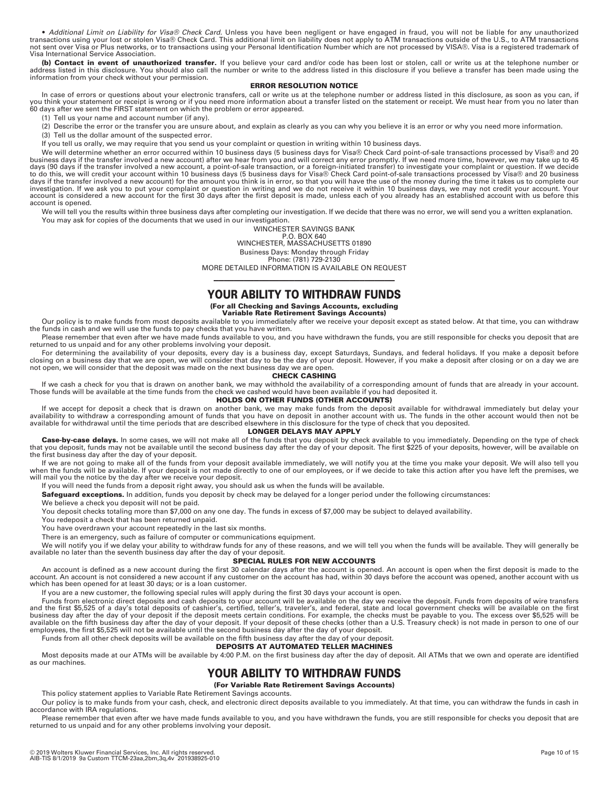A*dditional Limit on Liability for Visa® Check Card.* Unless you have been negligent or have engaged in fraud, you will not be liable for any unauthorized transactions using your lost or stolen Visa® Check Card. This addit Visa International Service Association.

(b) Contact in event of unauthorized transfer. If you believe your card and/or code has been lost or stolen, call or write us at the telephone number or address listed in this disclosure. You should also call the number or information from your check without your permission.

#### **ERROR RESOLUTION NOTICE**

In case of errors or questions about your electronic transfers, call or write us at the telephone number or address listed in this disclosure, as soon as you can, if you think your statement or receipt is wrong or if you need more information about a transfer listed on the statement or receipt. We must hear from you no later than 60 days after we sent the FIRST statement on which the problem or error appeared.

(1) Tell us your name and account number (if any).

(2) Describe the error or the transfer you are unsure about, and explain as clearly as you can why you believe it is an error or why you need more information.

(3) Tell us the dollar amount of the suspected error.

If you tell us orally, we may require that you send us your complaint or question in writing within 10 business days.

We will determine whether an error occurred within 10 business days (5 business days for Visa® Check Card point-of-sale transactions processed by Visa® and 20 business days if the transfer involved a new account) after we hear from you and will correct any error promptly. If we need more time, however, we may take up to 45 days (90 days if the transfer involved a new account, a point-of-sale transaction, or a foreign-initiated transfer) to investigate your complaint or question. If we decide to do this, we will credit your account within 10 business days (5 business days for Visa® Check Card point-of-sale transactions processed by Visa® and 20 business days if the transfer involved a new account) for the amount you think is in error, so that you will have the use of the money during the time it takes us to complete our investigation. If we ask you to put your complaint or question in writing and we do not receive it within 10 business days, we may not credit your account. Your account is considered a new account for the first 30 days after the first deposit is made, unless each of you already has an established account with us before this account is opened.

We will tell you the results within three business days after completing our investigation. If we decide that there was no error, we will send you a written explanation. You may ask for copies of the documents that we used in our investigation.

> WINCHESTER SAVINGS BANK P.O. BOX 640 WINCHESTER, MASSACHUSETTS 01890 Business Days: Monday through Friday Phone: (781) 729-2130

MORE DETAILED INFORMATION IS AVAILABLE ON REQUEST

# ———————————————————————————————————— **YOUR ABILITY TO WITHDRAW FUNDS**

## **(For all Checking and Savings Accounts, excluding**

**Variable Rate Retirement Savings Accounts)**  Our policy is to make funds from most deposits available to you immediately after we receive your deposit except as stated below. At that time, you can withdraw the funds in cash and we will use the funds to pay checks that you have written.

Please remember that even after we have made funds available to you, and you have withdrawn the funds, you are still responsible for checks you deposit that are returned to us unpaid and for any other problems involving your deposit.

For determining the availability of your deposits, every day is a business day, except Saturdays, Sundays, and federal holidays. If you make a deposit before closing on a business day that we are open, we will consider that day to be the day of your deposit. However, if you make a deposit after closing or on a day we are not open, we will consider that the deposit was made on the next business day we are open.

## **CHECK CASHING**

If we cash a check for you that is drawn on another bank, we may withhold the availability of a corresponding amount of funds that are already in your account. Those funds will be available at the time funds from the check we cashed would have been available if you had deposited it. **HOLDS ON OTHER FUNDS (OTHER ACCOUNTS)** 

lf we accept for deposit a check that is drawn on another bank, we may make funds from the deposit available for withdrawal immediately but delay your<br>availability to withdraw a corresponding amount of funds that you have available for withdrawal until the time periods that are described elsewhere in this disclosure for the type of check that you deposited.

#### **LONGER DELAYS MAY APPLY**

Case-by-case delays. In some cases, we will not make all of the funds that you deposit by check available to you immediately. Depending on the type of check that you deposit, funds may not be available until the second business day after the day of your deposit. The first \$225 of your deposits, however, will be available on the first business day after the day of your deposit.

lf we are not going to make all of the funds from your deposit available immediately, we will notify you at the time you make your deposit. We will also tell you<br>when the funds will be available. If your deposit is not mad will mail you the notice by the day after we receive your deposit.

If you will need the funds from a deposit right away, you should ask us when the funds will be available.

**Safeguard exceptions.** In addition, funds you deposit by check may be delayed for a longer period under the following circumstances:

We believe a check you deposit will not be paid.

You deposit checks totaling more than \$7,000 on any one day. The funds in excess of \$7,000 may be subject to delayed availability.

You redeposit a check that has been returned unpaid.

You have overdrawn your account repeatedly in the last six months.

There is an emergency, such as failure of computer or communications equipment.

We will notify you if we delay your ability to withdraw funds for any of these reasons, and we will tell you when the funds will be available. They will generally be available no later than the seventh business day after the day of your deposit.

#### **SPECIAL RULES FOR NEW ACCOUNTS**

An account is defined as a new account during the first 30 calendar days after the account is opened. An account is open when the first deposit is made to the account. An account is not considered a new account if any customer on the account has had, within 30 days before the account was opened, another account with us which has been opened for at least 30 days; or is a loan customer.

If you are a new customer, the following special rules will apply during the first 30 days your account is open.

Funds from electronic direct deposits and cash deposits to your account will be available on the day we receive the deposit. Funds from deposits of wire transfers and the first \$5,525 of a day's total deposits of cashier's, certified, teller's, traveler's, and federal, state and local government checks will be available on the first business day after the day of your deposit if the deposit meets certain conditions. For example, the checks must be payable to you. The excess over \$5,525 will be<br>available on the fifth business day after the day of your d

#### Funds from all other check deposits will be available on the fifth business day after the day of your deposit. **DEPOSITS AT AUTOMATED TELLER MACHINES**

Most deposits made at our ATMs will be available by 4:00 P.M. on the first business day after the day of deposit. All ATMs that we own and operate are identified as our machines.

# **YOUR ABILITY TO WITHDRAW FUNDS**

**(For Variable Rate Retirement Savings Accounts)**  This policy statement applies to Variable Rate Retirement Savings accounts.

Our policy is to make funds from your cash, check, and electronic direct deposits available to you immediately. At that time, you can withdraw the funds in cash in

accordance with IRA regulations.

Please remember that even after we have made funds available to you, and you have withdrawn the funds, you are still responsible for checks you deposit that are returned to us unpaid and for any other problems involving your deposit.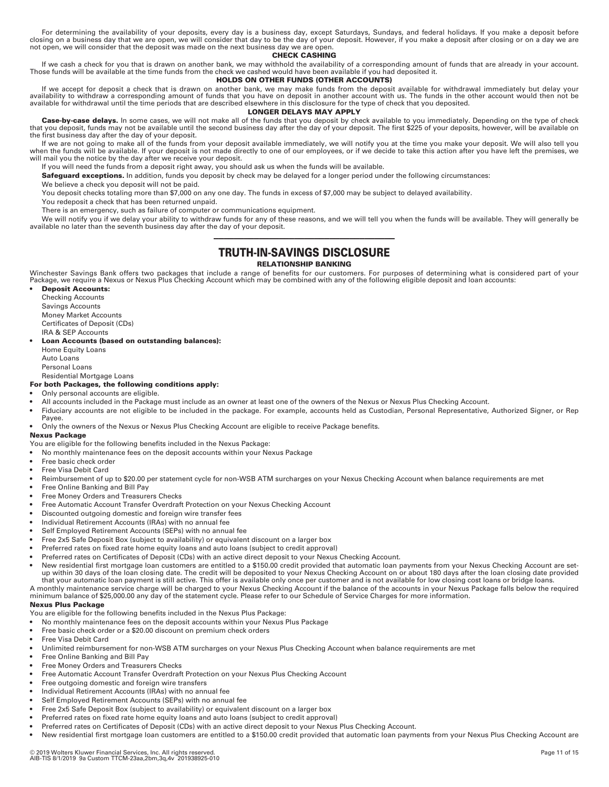For determining the availability of your deposits, every day is a business day, except Saturdays, Sundays, and federal holidays. If you make a deposit before<br>closing on a business day that we are open, we will consider tha not open, we will consider that the deposit was made on the next business day we are open.

#### **CHECK CASHING**

lf we cash a check for you that is drawn on another bank, we may withhold the availability of a corresponding amount of funds that are already in your account.<br>Those funds will be available at the time funds from the check

#### **HOLDS ON OTHER FUNDS (OTHER ACCOUNTS)**

If we accept for deposit a check that is drawn on another bank, we may make funds from the deposit available for withdrawal immediately but delay your availability to withdraw a corresponding amount of funds that you have on deposit in another account with us. The funds in the other account would then not be available for withdrawal until the time periods that are described elsewhere in this disclosure for the type of check that you deposited.

#### **LONGER DELAYS MAY APPLY**

Case-by-case delays. In some cases, we will not make all of the funds that you deposit by check available to you immediately. Depending on the type of check that you deposit, funds may not be available until the second business day after the day of your deposit. The first \$225 of your deposits, however, will be available on the first business day after the day of your deposit.

If we are not going to make all of the funds from your deposit available immediately, we will notify you at the time you make your deposit. We will also tell you when the funds will be available. If your deposit is not made directly to one of our employees, or if we decide to take this action after you have left the premises, we will mail you the notice by the day after we receive your deposit.

If you will need the funds from a deposit right away, you should ask us when the funds will be available.

**Safeguard exceptions.** In addition, funds you deposit by check may be delayed for a longer period under the following circumstances:

We believe a check you deposit will not be paid.

You deposit checks totaling more than \$7,000 on any one day. The funds in excess of \$7,000 may be subject to delayed availability.

You redeposit a check that has been returned unpaid.

There is an emergency, such as failure of computer or communications equipment.

We will notify you if we delay your ability to withdraw funds for any of these reasons, and we will tell you when the funds will be available. They will generally be available no later than the seventh business day after the day of your deposit.

# ———————————————————————————————————— **TRUTH-IN-SAVINGS DISCLOSURE**

#### **RELATIONSHIP BANKING**

Winchester Savings Bank offers two packages that include a range of benefits for our customers. For purposes of determining what is considered part of your<br>Package, we require a Nexus or Nexus Plus Checking Account which m

• **Deposit Accounts:**  Checking Accounts Savings Accounts Money Market Accounts Certificates of Deposit (CDs) IRA & SEP Accounts

#### • **Loan Accounts (based on outstanding balances):**

 Home Equity Loans Auto Loans

Personal Loans

#### Residential Mortgage Loans **For both Packages, the following conditions apply:**

- Only personal accounts are eligible.
- All accounts included in the Package must include as an owner at least one of the owners of the Nexus or Nexus Plus Checking Account.
- Fiduciary accounts are not eligible to be included in the package. For example, accounts held as Custodian, Personal Representative, Authorized Signer, or Rep Payee.

• Only the owners of the Nexus or Nexus Plus Checking Account are eligible to receive Package benefits.

### **Nexus Package**

You are eligible for the following benefits included in the Nexus Package:

- No monthly maintenance fees on the deposit accounts within your Nexus Package
- Free basic check order
- Free Visa Debit Card
- Reimbursement of up to \$20.00 per statement cycle for non-WSB ATM surcharges on your Nexus Checking Account when balance requirements are met
- Free Online Banking and Bill Pay
- Free Money Orders and Treasurers Checks
- Free Automatic Account Transfer Overdraft Protection on your Nexus Checking Account
- Discounted outgoing domestic and foreign wire transfer fees
- Individual Retirement Accounts (IRAs) with no annual fee
- Self Employed Retirement Accounts (SEPs) with no annual fee
- Free 2x5 Safe Deposit Box (subject to availability) or equivalent discount on a larger box
- Preferred rates on fixed rate home equity loans and auto loans (subject to credit approval)
- Preferred rates on Certificates of Deposit (CDs) with an active direct deposit to your Nexus Checking Account.
- New residential first mortgage loan customers are entitled to a \$150.00 credit provided that automatic loan payments from your Nexus Checking Account are setup within 30 days of the loan closing date. The credit will be deposited to your Nexus Checking Account on or about 180 days after the loan closing date provided<br>that your automatic loan payment is still active. This offer

A monthly maintenance service charge will be charged to your Nexus Checking Account if the balance of the accounts in your Nexus Package falls below the required minimum balance of \$25,000.00 any day of the statement cycle. Please refer to our Schedule of Service Charges for more information.

## **Nexus Plus Package**

- You are eligible for the following benefits included in the Nexus Plus Package:
- No monthly maintenance fees on the deposit accounts within your Nexus Plus Package
- Free basic check order or a \$20.00 discount on premium check orders
- Free Visa Debit Card
- Unlimited reimbursement for non-WSB ATM surcharges on your Nexus Plus Checking Account when balance requirements are met
- Free Online Banking and Bill Pay
- Free Money Orders and Treasurers Checks
- Free Automatic Account Transfer Overdraft Protection on your Nexus Plus Checking Account
- Free outgoing domestic and foreign wire transfers
- Individual Retirement Accounts (IRAs) with no annual fee
- Self Employed Retirement Accounts (SEPs) with no annual fee
- Free 2x5 Safe Deposit Box (subject to availability) or equivalent discount on a larger box
- Preferred rates on fixed rate home equity loans and auto loans (subject to credit approval)
- Preferred rates on Certificates of Deposit (CDs) with an active direct deposit to your Nexus Plus Checking Account.
- New residential first mortgage loan customers are entitled to a \$150.00 credit provided that automatic loan payments from your Nexus Plus Checking Account are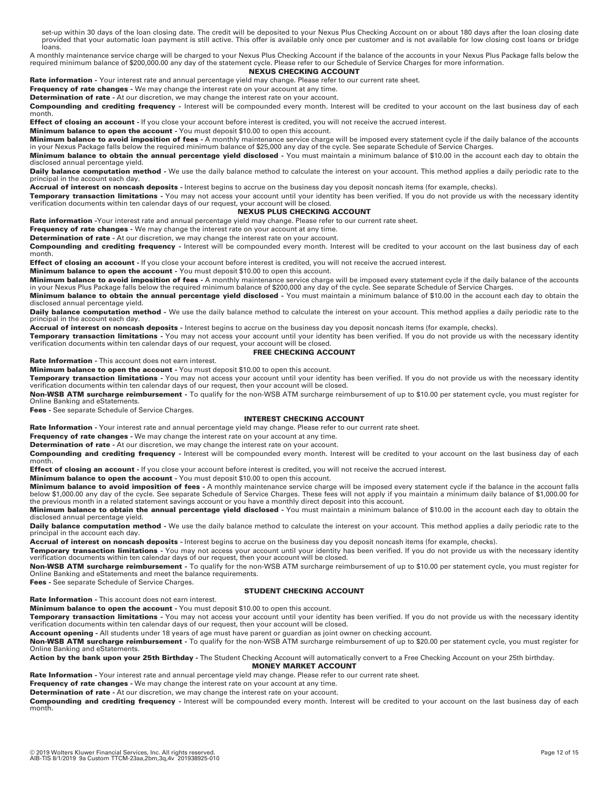set-up within 30 days of the loan closing date. The credit will be deposited to your Nexus Plus Checking Account on or about 180 days after the loan closing date<br>provided that your automatic loan payment is still active. T r<br>loans.

A monthly maintenance service charge will be charged to your Nexus Plus Checking Account if the balance of the accounts in your Nexus Plus Package falls below the required minimum balance of \$200,000.00 any day of the statement cycle. Please refer to our Schedule of Service Charges for more information.

# **NEXUS CHECKING ACCOUNT**

Rate information - Your interest rate and annual percentage yield may change. Please refer to our current rate sheet.

**Frequency of rate changes -** We may change the interest rate on your account at any time.

**Determination of rate -** At our discretion, we may change the interest rate on your account.

**Compounding and crediting frequency -** Interest will be compounded every month. Interest will be credited to your account on the last business day of each month.

**Effect of closing an account** - If you close your account before interest is credited, you will not receive the accrued interest.

**Minimum balance to open the account -** You must deposit \$10.00 to open this account.

**Minimum balance to avoid imposition of fees -** A monthly maintenance service charge will be imposed every statement cycle if the daily balance of the accounts<br>in your Nexus Package falls below the required minimum balance

**Minimum balance to obtain the annual percentage yield disclosed -** You must maintain a minimum balance of \$10.00 in the account each day to obtain the disclosed annual percentage yield.

Daily balance computation method - We use the daily balance method to calculate the interest on your account. This method applies a daily periodic rate to the principal in the account each day.

**Accrual of interest on noncash deposits -** Interest begins to accrue on the business day you deposit noncash items (for example, checks).

**Temporary transaction limitations -** You may not access your account until your identity has been verified. If you do not provide us with the necessary identity verification documents within ten calendar days of our request, your account will be closed.

#### **NEXUS PLUS CHECKING ACCOUNT**

**Rate information -**Your interest rate and annual percentage yield may change. Please refer to our current rate sheet.

**Frequency of rate changes -** We may change the interest rate on your account at any time.

**Determination of rate -** At our discretion, we may change the interest rate on your account.

**Compounding and crediting frequency -** Interest will be compounded every month. Interest will be credited to your account on the last business day of each month.

**Effect of closing an account -** If you close your account before interest is credited, you will not receive the accrued interest.

**Minimum balance to open the account -** You must deposit \$10.00 to open this account.

**Minimum balance to avoid imposition of fees -** A monthly maintenance service charge will be imposed every statement cycle if the daily balance of the accounts in your Nexus Plus Package falls below the required minimum balance of \$200,000 any day of the cycle. See separate Schedule of Service Charges.

**Minimum balance to obtain the annual percentage yield disclosed -** You must maintain a minimum balance of \$10.00 in the account each day to obtain the disclosed annual percentage yield.

Daily balance computation method - We use the daily balance method to calculate the interest on your account. This method applies a daily periodic rate to the principal in the account each day.

**Accrual of interest on noncash deposits -** Interest begins to accrue on the business day you deposit noncash items (for example, checks).

**Temporary transaction limitations** - You may not access your account until your identity has been verified. If you do not provide us with the necessary identity<br>verification documents within ten calendar days of our reque

#### **FREE CHECKING ACCOUNT**

**Rate Information -** This account does not earn interest.

**Minimum balance to open the account -** You must deposit \$10.00 to open this account.

**Temporary transaction limitations -** You may not access your account until your identity has been verified. If you do not provide us with the necessary identity verification documents within ten calendar days of our request, then your account will be closed.

**Non-WSB ATM surcharge reimbursement -** To qualify for the non-WSB ATM surcharge reimbursement of up to \$10.00 per statement cycle, you must register for Online Banking and eStatements.

**Fees -** See separate Schedule of Service Charges.

#### **INTEREST CHECKING ACCOUNT**

**Rate Information -** Your interest rate and annual percentage yield may change. Please refer to our current rate sheet.

**Frequency of rate changes -** We may change the interest rate on your account at any time.

**Determination of rate -** At our discretion, we may change the interest rate on your account.

**Compounding and crediting frequency -** Interest will be compounded every month. Interest will be credited to your account on the last business day of each month.

**Effect of closing an account -** If you close your account before interest is credited, you will not receive the accrued interest.

**Minimum balance to open the account -** You must deposit \$10.00 to open this account.

**Minimum balance to avoid imposition of fees** - A monthly maintenance service charge will be imposed every statement cycle if the balance in the account falls<br>below \$1,000.00 any day of the cycle. See separate Schedule of

**Minimum balance to obtain the annual percentage yield disclosed -** You must maintain a minimum balance of \$10.00 in the account each day to obtain the disclosed annual percentage yield.

Daily balance computation method - We use the daily balance method to calculate the interest on your account. This method applies a daily periodic rate to the principal in the account each day.

**Accrual of interest on noncash deposits -** Interest begins to accrue on the business day you deposit noncash items (for example, checks).

**Temporary transaction limitations -** You may not access your account until your identity has been verified. If you do not provide us with the necessary identity verification documents within ten calendar days of our request, then your account will be closed.

**Non-WSB ATM surcharge reimbursement -** To qualify for the non-WSB ATM surcharge reimbursement of up to \$10.00 per statement cycle, you must register for Online Banking and eStatements and meet the balance requirements.

**Fees -** See separate Schedule of Service Charges.

#### **STUDENT CHECKING ACCOUNT**

**Rate Information -** This account does not earn interest.

**Minimum balance to open the account -** You must deposit \$10.00 to open this account.

**Temporary transaction limitations -** You may not access your account until your identity has been verified. If you do not provide us with the necessary identity verification documents within ten calendar days of our request, then your account will be closed.

**Account opening -** All students under 18 years of age must have parent or guardian as joint owner on checking account.

**Non-WSB ATM surcharge reimbursement -** To qualify for the non-WSB ATM surcharge reimbursement of up to \$20.00 per statement cycle, you must register for Online Banking and eStatements.

**Action by the bank upon your 25th Birthday -** The Student Checking Account will automatically convert to a Free Checking Account on your 25th birthday.

**MONEY MARKET ACCOUNT** 

**Rate Information -** Your interest rate and annual percentage yield may change. Please refer to our current rate sheet.

**Frequency of rate changes -** We may change the interest rate on your account at any time.

**Determination of rate -** At our discretion, we may change the interest rate on your account.

**Compounding and crediting frequency -** Interest will be compounded every month. Interest will be credited to your account on the last business day of each month.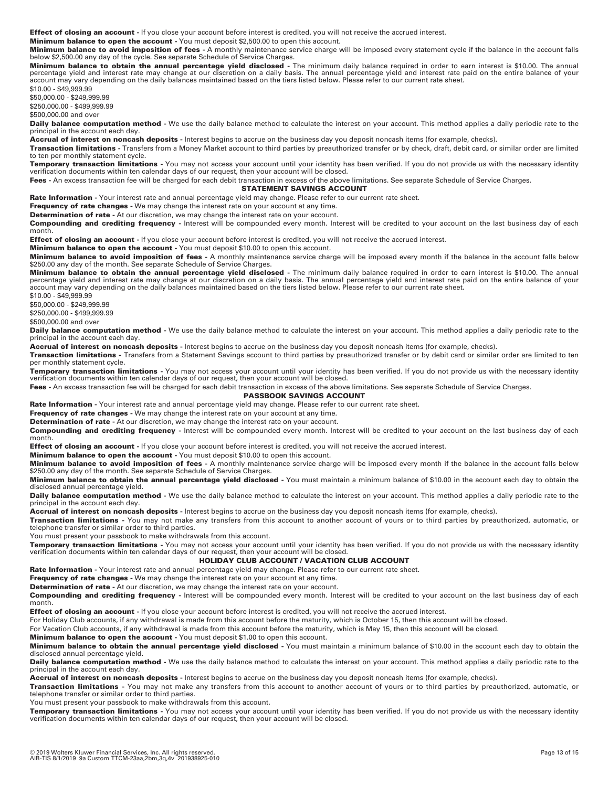**Effect of closing an account -** If you close your account before interest is credited, you will not receive the accrued interest.

**Minimum balance to open the account -** You must deposit \$2,500.00 to open this account.

**Minimum balance to avoid imposition of fees -** A monthly maintenance service charge will be imposed every statement cycle if the balance in the account falls below \$2,500.00 any day of the cycle. See separate Schedule of Service Charges.

**Minimum balance to obtain the annual percentage yield disclosed** - The minimum daily balance required in order to earn interest is \$10.00. The annual<br>percentage yield and interest rate may change at our discretion on a da account may vary depending on the daily balances maintained based on the tiers listed below. Please refer to our current rate sheet.

\$10.00 - \$49,999.99 \$50,000.00 - \$249,999.99

\$250,000.00 - \$499,999.99

\$500,000.00 and over

**Daily balance computation method -** We use the daily balance method to calculate the interest on your account. This method applies a daily periodic rate to the principal in the account each day.

**Accrual of interest on noncash deposits -** Interest begins to accrue on the business day you deposit noncash items (for example, checks).

**Transaction limitations -** Transfers from a Money Market account to third parties by preauthorized transfer or by check, draft, debit card, or similar order are limited to ten per monthly statement cycle.

**Temporary transaction limitations -** You may not access your account until your identity has been verified. If you do not provide us with the necessary identity verification documents within ten calendar days of our request, then your account will be closed.

**Fees -** An excess transaction fee will be charged for each debit transaction in excess of the above limitations. See separate Schedule of Service Charges.

#### **STATEMENT SAVINGS ACCOUNT**

**Rate Information -** Your interest rate and annual percentage yield may change. Please refer to our current rate sheet.

**Frequency of rate changes -** We may change the interest rate on your account at any time.

**Determination of rate -** At our discretion, we may change the interest rate on your account.

**Compounding and crediting frequency -** Interest will be compounded every month. Interest will be credited to your account on the last business day of each month.

**Effect of closing an account -** If you close your account before interest is credited, you will not receive the accrued interest.

**Minimum balance to open the account -** You must deposit \$10.00 to open this account.

**Minimum balance to avoid imposition of fees -** A monthly maintenance service charge will be imposed every month if the balance in the account falls below \$250.00 any day of the month. See separate Schedule of Service Charges.

**Minimum balance to obtain the annual percentage yield disclosed -** The minimum daily balance required in order to earn interest is \$10.00. The annual percentage yield and interest rate may change at our discretion on a daily basis. The annual percentage yield and interest rate paid on the entire balance of your account may vary depending on the daily balances maintained based on the tiers listed below. Please refer to our current rate sheet.

\$10.00 - \$49,999.99 \$50,000.00 - \$249,999.99 \$250,000.00 - \$499,999.99 \$500,000.00 and over

**Daily balance computation method** - We use the daily balance method to calculate the interest on your account. This method applies a daily periodic rate to the principal in the account each day.

**Accrual of interest on noncash deposits -** Interest begins to accrue on the business day you deposit noncash items (for example, checks).

**Transaction limitations -** Transfers from a Statement Savings account to third parties by preauthorized transfer or by debit card or similar order are limited to ten per monthly statement cycle.

**Temporary transaction limitations -** You may not access your account until your identity has been verified. If you do not provide us with the necessary identity verification documents within ten calendar days of our request, then your account will be closed.

**Fees -** An excess transaction fee will be charged for each debit transaction in excess of the above limitations. See separate Schedule of Service Charges.

**PASSBOOK SAVINGS ACCOUNT** 

**Rate Information -** Your interest rate and annual percentage yield may change. Please refer to our current rate sheet.

**Frequency of rate changes -** We may change the interest rate on your account at any time.

**Determination of rate -** At our discretion, we may change the interest rate on your account.

**Compounding and crediting frequency -** Interest will be compounded every month. Interest will be credited to your account on the last business day of each month.

**Effect of closing an account -** If you close your account before interest is credited, you will not receive the accrued interest.

**Minimum balance to open the account -** You must deposit \$10.00 to open this account.

**Minimum balance to avoid imposition of fees -** A monthly maintenance service charge will be imposed every month if the balance in the account falls below

\$250.00 any day of the month. See separate Schedule of Service Charges. **Minimum balance to obtain the annual percentage yield disclosed -** You must maintain a minimum balance of \$10.00 in the account each day to obtain the

disclosed annual percentage yield.

Daily balance computation method - We use the daily balance method to calculate the interest on your account. This method applies a daily periodic rate to the principal in the account each day.

**Accrual of interest on noncash deposits -** Interest begins to accrue on the business day you deposit noncash items (for example, checks).

**Transaction limitations -** You may not make any transfers from this account to another account of yours or to third parties by preauthorized, automatic, or telephone transfer or similar order to third parties.

You must present your passbook to make withdrawals from this account.

**Temporary transaction limitations -** You may not access your account until your identity has been verified. If you do not provide us with the necessary identity verification documents within ten calendar days of our request, then your account will be closed.

#### **HOLIDAY CLUB ACCOUNT / VACATION CLUB ACCOUNT**

**Rate Information -** Your interest rate and annual percentage yield may change. Please refer to our current rate sheet.

**Frequency of rate changes -** We may change the interest rate on your account at any time.

**Determination of rate -** At our discretion, we may change the interest rate on your account.

**Compounding and crediting frequency -** Interest will be compounded every month. Interest will be credited to your account on the last business day of each month.

**Effect of closing an account -** If you close your account before interest is credited, you will not receive the accrued interest.

For Holiday Club accounts, if any withdrawal is made from this account before the maturity, which is October 15, then this account will be closed.

For Vacation Club accounts, if any withdrawal is made from this account before the maturity, which is May 15, then this account will be closed.

# **Minimum balance to open the account -** You must deposit \$1.00 to open this account.

**Minimum balance to obtain the annual percentage yield disclosed -** You must maintain a minimum balance of \$10.00 in the account each day to obtain the disclosed annual percentage yield.

**Daily balance computation method -** We use the daily balance method to calculate the interest on your account. This method applies a daily periodic rate to the principal in the account each day.

**Accrual of interest on noncash deposits -** Interest begins to accrue on the business day you deposit noncash items (for example, checks).

**Transaction limitations -** You may not make any transfers from this account to another account of yours or to third parties by preauthorized, automatic, or telephone transfer or similar order to third parties.

You must present your passbook to make withdrawals from this account.

**Temporary transaction limitations -** You may not access your account until your identity has been verified. If you do not provide us with the necessary identity verification documents within ten calendar days of our request, then your account will be closed.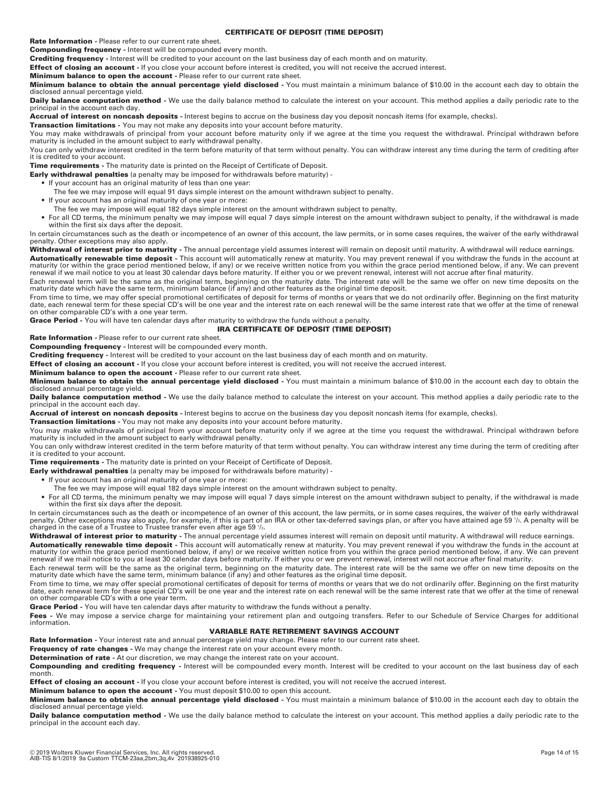#### **CERTIFICATE OF DEPOSIT (TIME DEPOSIT)**

**Rate Information -** Please refer to our current rate sheet.

**Compounding frequency -** Interest will be compounded every month.

**Crediting frequency -** Interest will be credited to your account on the last business day of each month and on maturity.

**Effect of closing an account** - If you close your account before interest is credited, you will not receive the accrued interest.

**Minimum balance to open the account -** Please refer to our current rate sheet.

**Minimum balance to obtain the annual percentage yield disclosed -** You must maintain a minimum balance of \$10.00 in the account each day to obtain the disclosed annual percentage yield.

**Daily balance computation method -** We use the daily balance method to calculate the interest on your account. This method applies a daily periodic rate to the principal in the account each day.

**Accrual of interest on noncash deposits -** Interest begins to accrue on the business day you deposit noncash items (for example, checks).

**Transaction limitations -** You may not make any deposits into your account before maturity.

You may make withdrawals of principal from your account before maturity only if we agree at the time you request the withdrawal. Principal withdrawn before maturity is included in the amount subject to early withdrawal penalty.

You can only withdraw interest credited in the term before maturity of that term without penalty. You can withdraw interest any time during the term of crediting after it is credited to your account.

**Time requirements -** The maturity date is printed on the Receipt of Certificate of Deposit.

- **Early withdrawal penalties** (a penalty may be imposed for withdrawals before maturity) • If your account has an original maturity of less than one year:
	- The fee we may impose will equal 91 days simple interest on the amount withdrawn subject to penalty.
	- If your account has an original maturity of one year or more:
	- The fee we may impose will equal 182 days simple interest on the amount withdrawn subject to penalty.
	- For all CD terms, the minimum penalty we may impose will equal 7 days simple interest on the amount withdrawn subject to penalty, if the withdrawal is made within the first six days after the deposit.

In certain circumstances such as the death or incompetence of an owner of this account, the law permits, or in some cases requires, the waiver of the early withdrawal penalty. Other exceptions may also apply.

**Withdrawal of interest prior to maturity -** The annual percentage yield assumes interest will remain on deposit until maturity. A withdrawal will reduce earnings.

**Automatically renewable time deposit -** This account will automatically renew at maturity. You may prevent renewal if you withdraw the funds in the account at maturity (or within the grace period mentioned below, if any) or we receive written notice from you within the grace period mentioned below, if any. We can prevent<br>renewal if we mail notice to you at least 30 calendar days

Each renewal term will be the same as the original term, beginning on the maturity date. The interest rate will be the same we offer on new time deposits on the maturity date which have the same term, minimum balance (if any) and other features as the original time deposit.

From time to time, we may offer special promotional certificates of deposit for terms of months or years that we do not ordinarily offer. Beginning on the first maturity date, each renewal term for these special CD's will be one year and the interest rate on each renewal will be the same interest rate that we offer at the time of renewal on other comparable CD's with a one year term.

**Grace Period -** You will have ten calendar days after maturity to withdraw the funds without a penalty.

# **IRA CERTIFICATE OF DEPOSIT (TIME DEPOSIT)**

**Rate Information -** Please refer to our current rate sheet.

**Compounding frequency -** Interest will be compounded every month.

**Crediting frequency -** Interest will be credited to your account on the last business day of each month and on maturity.

**Effect of closing an account -** If you close your account before interest is credited, you will not receive the accrued interest.

# **Minimum balance to open the account -** Please refer to our current rate sheet.

**Minimum balance to obtain the annual percentage yield disclosed -** You must maintain a minimum balance of \$10.00 in the account each day to obtain the disclosed annual percentage yield.

**Daily balance computation method** - We use the daily balance method to calculate the interest on your account. This method applies a daily periodic rate to the principal in the account each day.

**Accrual of interest on noncash deposits -** Interest begins to accrue on the business day you deposit noncash items (for example, checks).

**Transaction limitations -** You may not make any deposits into your account before maturity.

You may make withdrawals of principal from your account before maturity only if we agree at the time you request the withdrawal. Principal withdrawn before maturity is included in the amount subject to early withdrawal penalty.

You can only withdraw interest credited in the term before maturity of that term without penalty. You can withdraw interest any time during the term of crediting after it is credited to your account.

**Time requirements -** The maturity date is printed on your Receipt of Certificate of Deposit.

- **Early withdrawal penalties** (a penalty may be imposed for withdrawals before maturity) -
	- If your account has an original maturity of one year or more:
	- The fee we may impose will equal 182 days simple interest on the amount withdrawn subject to penalty.
	- For all CD terms, the minimum penalty we may impose will equal 7 days simple interest on the amount withdrawn subject to penalty, if the withdrawal is made within the first six days after the deposit.

In certain circumstances such as the death or incompetence of an owner of this account, the law permits, or in some cases requires, the waiver of the early withdrawal<br>penalty. Other exceptions may also apply, for example,

**Withdrawal of interest prior to maturity -** The annual percentage yield assumes interest will remain on deposit until maturity. A withdrawal will reduce earnings. **Automatically renewable time deposit -** This account will automatically renew at maturity. You may prevent renewal if you withdraw the funds in the account at maturity (or within the grace period mentioned below, if any) or we receive written notice from you within the grace period mentioned below, if any. We can prevent renewal if we mail notice to you at least 30 calendar days before maturity. If either you or we prevent renewal, interest will not accrue after final maturity.

Each renewal term will be the same as the original term, beginning on the maturity date. The interest rate will be the same we offer on new time deposits on the maturity date which have the same term, minimum balance (if any) and other features as the original time deposit.

From time to time, we may offer special promotional certificates of deposit for terms of months or years that we do not ordinarily offer. Beginning on the first maturity<br>date, each renewal term for these special CD's will on other comparable CD's with a one year term.

**Grace Period -** You will have ten calendar days after maturity to withdraw the funds without a penalty.

Fees - We may impose a service charge for maintaining your retirement plan and outgoing transfers. Refer to our Schedule of Service Charges for additional information.

#### **VARIABLE RATE RETIREMENT SAVINGS ACCOUNT**

**Rate Information -** Your interest rate and annual percentage yield may change. Please refer to our current rate sheet.

**Frequency of rate changes -** We may change the interest rate on your account every month.

**Determination of rate -** At our discretion, we may change the interest rate on your account.

**Compounding and crediting frequency -** Interest will be compounded every month. Interest will be credited to your account on the last business day of each month.

**Effect of closing an account -** If you close your account before interest is credited, you will not receive the accrued interest.

**Minimum balance to open the account -** You must deposit \$10.00 to open this account.

**Minimum balance to obtain the annual percentage yield disclosed -** You must maintain a minimum balance of \$10.00 in the account each day to obtain the disclosed annual percentage yield.

Daily balance computation method - We use the daily balance method to calculate the interest on your account. This method applies a daily periodic rate to the principal in the account each day.